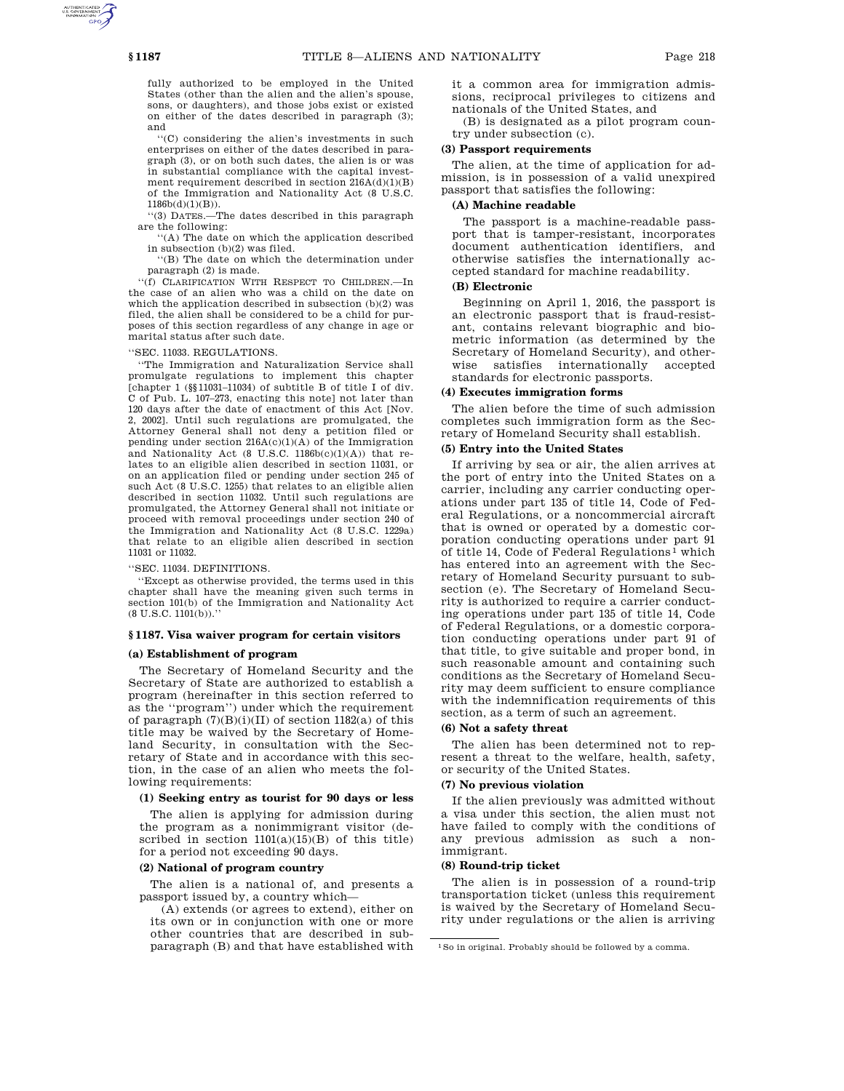fully authorized to be employed in the United States (other than the alien and the alien's spouse, sons, or daughters), and those jobs exist or existed on either of the dates described in paragraph (3); and

''(C) considering the alien's investments in such enterprises on either of the dates described in paragraph (3), or on both such dates, the alien is or was in substantial compliance with the capital investment requirement described in section  $216A(d)(1)(B)$ of the Immigration and Nationality Act (8 U.S.C. 1186b(d)(1)(B)).

''(3) DATES.—The dates described in this paragraph are the following:

''(A) The date on which the application described in subsection (b)(2) was filed.

''(B) The date on which the determination under paragraph (2) is made.

''(f) CLARIFICATION WITH RESPECT TO CHILDREN.—In the case of an alien who was a child on the date on which the application described in subsection (b)(2) was filed, the alien shall be considered to be a child for purposes of this section regardless of any change in age or marital status after such date.

''SEC. 11033. REGULATIONS.

''The Immigration and Naturalization Service shall promulgate regulations to implement this chapter [chapter 1 (§§11031–11034) of subtitle B of title I of div. C of Pub. L. 107–273, enacting this note] not later than 120 days after the date of enactment of this Act [Nov. 2, 2002]. Until such regulations are promulgated, the Attorney General shall not deny a petition filed or pending under section  $216A(c)(1)(A)$  of the Immigration and Nationality Act (8 U.S.C. 1186b(c)(1)(A)) that relates to an eligible alien described in section 11031, or on an application filed or pending under section 245 of such Act (8 U.S.C. 1255) that relates to an eligible alien described in section 11032. Until such regulations are promulgated, the Attorney General shall not initiate or proceed with removal proceedings under section 240 of the Immigration and Nationality Act (8 U.S.C. 1229a) that relate to an eligible alien described in section 11031 or 11032.

#### ''SEC. 11034. DEFINITIONS.

''Except as otherwise provided, the terms used in this chapter shall have the meaning given such terms in section 101(b) of the Immigration and Nationality Act (8 U.S.C. 1101(b)).''

# **§ 1187. Visa waiver program for certain visitors**

#### **(a) Establishment of program**

The Secretary of Homeland Security and the Secretary of State are authorized to establish a program (hereinafter in this section referred to as the ''program'') under which the requirement of paragraph  $(7)(B)(i)(II)$  of section 1182(a) of this title may be waived by the Secretary of Homeland Security, in consultation with the Secretary of State and in accordance with this section, in the case of an alien who meets the following requirements:

### **(1) Seeking entry as tourist for 90 days or less**

The alien is applying for admission during the program as a nonimmigrant visitor (described in section  $1101(a)(15)(B)$  of this title) for a period not exceeding 90 days.

### **(2) National of program country**

The alien is a national of, and presents a passport issued by, a country which—

(A) extends (or agrees to extend), either on its own or in conjunction with one or more other countries that are described in subparagraph (B) and that have established with it a common area for immigration admissions, reciprocal privileges to citizens and nationals of the United States, and

(B) is designated as a pilot program country under subsection (c).

# **(3) Passport requirements**

The alien, at the time of application for admission, is in possession of a valid unexpired passport that satisfies the following:

#### **(A) Machine readable**

The passport is a machine-readable passport that is tamper-resistant, incorporates document authentication identifiers, and otherwise satisfies the internationally accepted standard for machine readability.

# **(B) Electronic**

Beginning on April 1, 2016, the passport is an electronic passport that is fraud-resistant, contains relevant biographic and biometric information (as determined by the Secretary of Homeland Security), and otherwise satisfies internationally accepted standards for electronic passports.

### **(4) Executes immigration forms**

The alien before the time of such admission completes such immigration form as the Secretary of Homeland Security shall establish.

#### **(5) Entry into the United States**

If arriving by sea or air, the alien arrives at the port of entry into the United States on a carrier, including any carrier conducting operations under part 135 of title 14, Code of Federal Regulations, or a noncommercial aircraft that is owned or operated by a domestic corporation conducting operations under part 91 of title 14, Code of Federal Regulations<sup>1</sup> which has entered into an agreement with the Secretary of Homeland Security pursuant to subsection (e). The Secretary of Homeland Security is authorized to require a carrier conducting operations under part 135 of title 14, Code of Federal Regulations, or a domestic corporation conducting operations under part 91 of that title, to give suitable and proper bond, in such reasonable amount and containing such conditions as the Secretary of Homeland Security may deem sufficient to ensure compliance with the indemnification requirements of this section, as a term of such an agreement.

#### **(6) Not a safety threat**

The alien has been determined not to represent a threat to the welfare, health, safety, or security of the United States.

#### **(7) No previous violation**

If the alien previously was admitted without a visa under this section, the alien must not have failed to comply with the conditions of any previous admission as such a nonimmigrant.

#### **(8) Round-trip ticket**

The alien is in possession of a round-trip transportation ticket (unless this requirement is waived by the Secretary of Homeland Security under regulations or the alien is arriving

<sup>1</sup>So in original. Probably should be followed by a comma.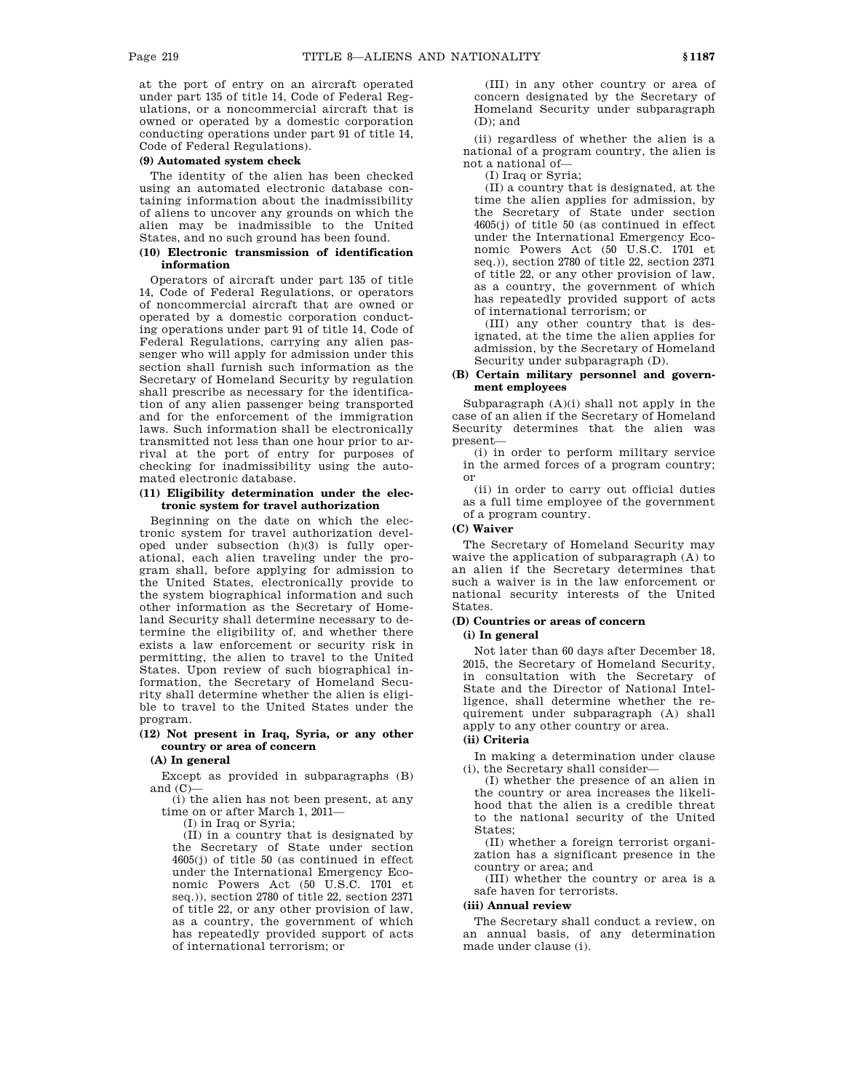at the port of entry on an aircraft operated under part 135 of title 14, Code of Federal Regulations, or a noncommercial aircraft that is owned or operated by a domestic corporation conducting operations under part 91 of title 14, Code of Federal Regulations).

# **(9) Automated system check**

The identity of the alien has been checked using an automated electronic database containing information about the inadmissibility of aliens to uncover any grounds on which the alien may be inadmissible to the United States, and no such ground has been found.

# **(10) Electronic transmission of identification information**

Operators of aircraft under part 135 of title 14, Code of Federal Regulations, or operators of noncommercial aircraft that are owned or operated by a domestic corporation conducting operations under part 91 of title 14, Code of Federal Regulations, carrying any alien passenger who will apply for admission under this section shall furnish such information as the Secretary of Homeland Security by regulation shall prescribe as necessary for the identification of any alien passenger being transported and for the enforcement of the immigration laws. Such information shall be electronically transmitted not less than one hour prior to arrival at the port of entry for purposes of checking for inadmissibility using the automated electronic database.

# **(11) Eligibility determination under the electronic system for travel authorization**

Beginning on the date on which the electronic system for travel authorization developed under subsection (h)(3) is fully operational, each alien traveling under the program shall, before applying for admission to the United States, electronically provide to the system biographical information and such other information as the Secretary of Homeland Security shall determine necessary to determine the eligibility of, and whether there exists a law enforcement or security risk in permitting, the alien to travel to the United States. Upon review of such biographical information, the Secretary of Homeland Security shall determine whether the alien is eligible to travel to the United States under the program.

# **(12) Not present in Iraq, Syria, or any other country or area of concern**

#### **(A) In general**

Except as provided in subparagraphs (B) and  $(C)$ —

(i) the alien has not been present, at any time on or after March 1, 2011—

(I) in Iraq or Syria;

(II) in a country that is designated by the Secretary of State under section 4605(j) of title 50 (as continued in effect under the International Emergency Economic Powers Act (50 U.S.C. 1701 et seq.)), section 2780 of title 22, section 2371 of title 22, or any other provision of law, as a country, the government of which has repeatedly provided support of acts of international terrorism; or

(III) in any other country or area of concern designated by the Secretary of Homeland Security under subparagraph  $(D)$ ; and

(ii) regardless of whether the alien is a national of a program country, the alien is not a national of—

(I) Iraq or Syria;

(II) a country that is designated, at the time the alien applies for admission, by the Secretary of State under section 4605(j) of title 50 (as continued in effect under the International Emergency Economic Powers Act (50 U.S.C. 1701 et seq.)), section 2780 of title 22, section 2371 of title 22, or any other provision of law, as a country, the government of which has repeatedly provided support of acts of international terrorism; or

(III) any other country that is designated, at the time the alien applies for admission, by the Secretary of Homeland Security under subparagraph (D).

# **(B) Certain military personnel and government employees**

Subparagraph (A)(i) shall not apply in the case of an alien if the Secretary of Homeland Security determines that the alien was present—

(i) in order to perform military service in the armed forces of a program country; or

(ii) in order to carry out official duties as a full time employee of the government of a program country.

# **(C) Waiver**

The Secretary of Homeland Security may waive the application of subparagraph (A) to an alien if the Secretary determines that such a waiver is in the law enforcement or national security interests of the United States.

# **(D) Countries or areas of concern**

#### **(i) In general**

Not later than 60 days after December 18, 2015, the Secretary of Homeland Security, in consultation with the Secretary of State and the Director of National Intelligence, shall determine whether the requirement under subparagraph (A) shall apply to any other country or area.

# **(ii) Criteria**

In making a determination under clause (i), the Secretary shall consider—

(I) whether the presence of an alien in the country or area increases the likelihood that the alien is a credible threat to the national security of the United States;

(II) whether a foreign terrorist organization has a significant presence in the country or area; and

(III) whether the country or area is a safe haven for terrorists.

#### **(iii) Annual review**

The Secretary shall conduct a review, on an annual basis, of any determination made under clause (i).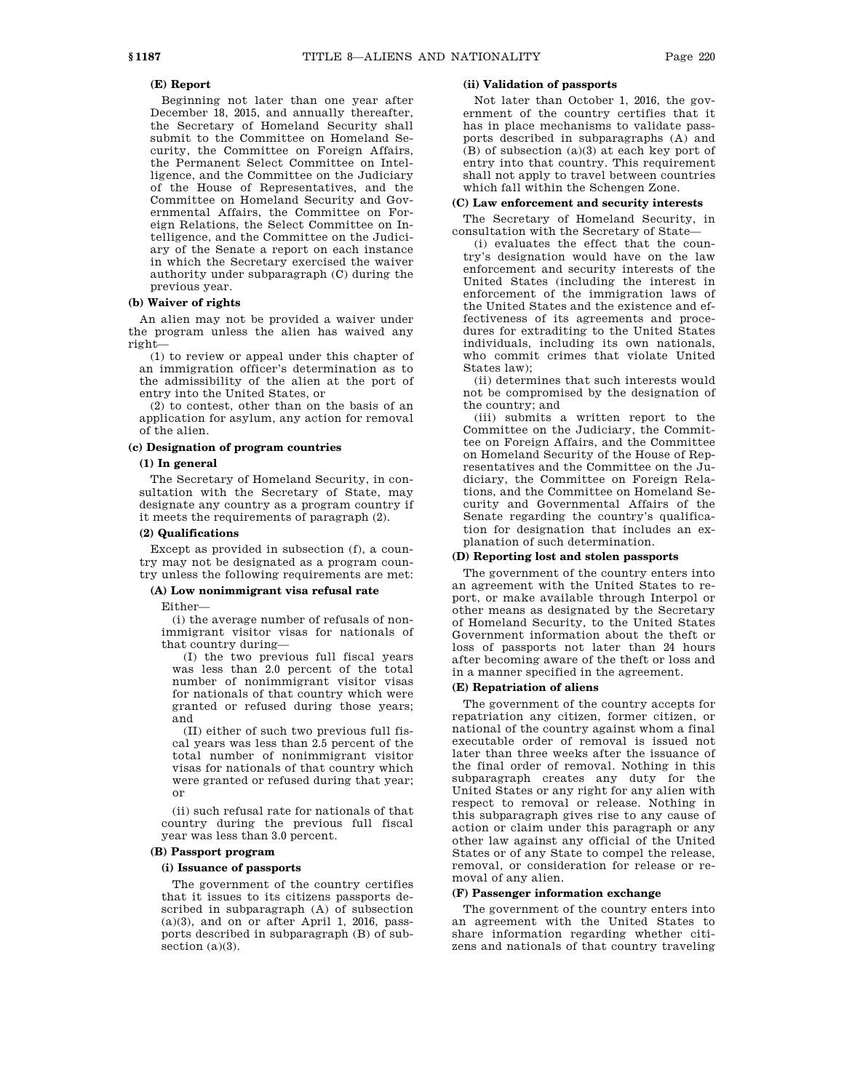# **(E) Report**

Beginning not later than one year after December 18, 2015, and annually thereafter, the Secretary of Homeland Security shall submit to the Committee on Homeland Security, the Committee on Foreign Affairs, the Permanent Select Committee on Intelligence, and the Committee on the Judiciary of the House of Representatives, and the Committee on Homeland Security and Governmental Affairs, the Committee on Foreign Relations, the Select Committee on Intelligence, and the Committee on the Judiciary of the Senate a report on each instance in which the Secretary exercised the waiver authority under subparagraph (C) during the previous year.

# **(b) Waiver of rights**

An alien may not be provided a waiver under the program unless the alien has waived any right—

(1) to review or appeal under this chapter of an immigration officer's determination as to the admissibility of the alien at the port of entry into the United States, or

(2) to contest, other than on the basis of an application for asylum, any action for removal of the alien.

# **(c) Designation of program countries**

# **(1) In general**

The Secretary of Homeland Security, in consultation with the Secretary of State, may designate any country as a program country if it meets the requirements of paragraph (2).

#### **(2) Qualifications**

Except as provided in subsection (f), a country may not be designated as a program country unless the following requirements are met:

# **(A) Low nonimmigrant visa refusal rate**

Either—

(i) the average number of refusals of nonimmigrant visitor visas for nationals of that country during—

(I) the two previous full fiscal years was less than 2.0 percent of the total number of nonimmigrant visitor visas for nationals of that country which were granted or refused during those years; and

(II) either of such two previous full fiscal years was less than 2.5 percent of the total number of nonimmigrant visitor visas for nationals of that country which were granted or refused during that year; or

(ii) such refusal rate for nationals of that country during the previous full fiscal year was less than 3.0 percent.

# **(B) Passport program**

#### **(i) Issuance of passports**

The government of the country certifies that it issues to its citizens passports described in subparagraph (A) of subsection (a)(3), and on or after April 1, 2016, passports described in subparagraph (B) of subsection (a)(3).

# **(ii) Validation of passports**

Not later than October 1, 2016, the government of the country certifies that it has in place mechanisms to validate passports described in subparagraphs (A) and  $(B)$  of subsection  $(a)(3)$  at each key port of entry into that country. This requirement shall not apply to travel between countries which fall within the Schengen Zone.

# **(C) Law enforcement and security interests**

The Secretary of Homeland Security, in consultation with the Secretary of State—

(i) evaluates the effect that the country's designation would have on the law enforcement and security interests of the United States (including the interest in enforcement of the immigration laws of the United States and the existence and effectiveness of its agreements and procedures for extraditing to the United States individuals, including its own nationals, who commit crimes that violate United States law);

(ii) determines that such interests would not be compromised by the designation of the country; and

(iii) submits a written report to the Committee on the Judiciary, the Committee on Foreign Affairs, and the Committee on Homeland Security of the House of Representatives and the Committee on the Judiciary, the Committee on Foreign Relations, and the Committee on Homeland Security and Governmental Affairs of the Senate regarding the country's qualification for designation that includes an explanation of such determination.

#### **(D) Reporting lost and stolen passports**

The government of the country enters into an agreement with the United States to report, or make available through Interpol or other means as designated by the Secretary of Homeland Security, to the United States Government information about the theft or loss of passports not later than 24 hours after becoming aware of the theft or loss and in a manner specified in the agreement.

# **(E) Repatriation of aliens**

The government of the country accepts for repatriation any citizen, former citizen, or national of the country against whom a final executable order of removal is issued not later than three weeks after the issuance of the final order of removal. Nothing in this subparagraph creates any duty for the United States or any right for any alien with respect to removal or release. Nothing in this subparagraph gives rise to any cause of action or claim under this paragraph or any other law against any official of the United States or of any State to compel the release, removal, or consideration for release or removal of any alien.

#### **(F) Passenger information exchange**

The government of the country enters into an agreement with the United States to share information regarding whether citizens and nationals of that country traveling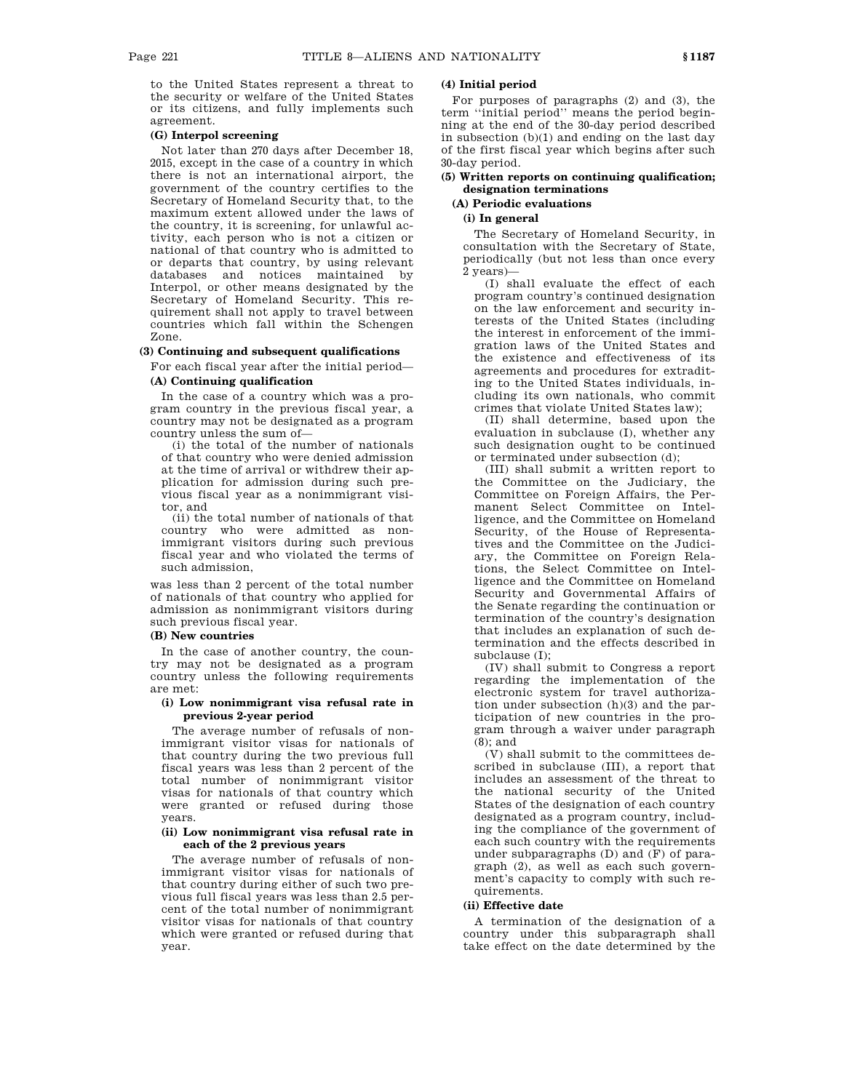to the United States represent a threat to the security or welfare of the United States or its citizens, and fully implements such agreement.

# **(G) Interpol screening**

Not later than 270 days after December 18, 2015, except in the case of a country in which there is not an international airport, the government of the country certifies to the Secretary of Homeland Security that, to the maximum extent allowed under the laws of the country, it is screening, for unlawful activity, each person who is not a citizen or national of that country who is admitted to or departs that country, by using relevant databases and notices maintained by Interpol, or other means designated by the Secretary of Homeland Security. This requirement shall not apply to travel between countries which fall within the Schengen Zone.

# **(3) Continuing and subsequent qualifications**

For each fiscal year after the initial period— **(A) Continuing qualification**

In the case of a country which was a program country in the previous fiscal year, a country may not be designated as a program country unless the sum of—

(i) the total of the number of nationals of that country who were denied admission at the time of arrival or withdrew their application for admission during such previous fiscal year as a nonimmigrant visitor, and

(ii) the total number of nationals of that country who were admitted as nonimmigrant visitors during such previous fiscal year and who violated the terms of such admission,

was less than 2 percent of the total number of nationals of that country who applied for admission as nonimmigrant visitors during such previous fiscal year.

# **(B) New countries**

In the case of another country, the country may not be designated as a program country unless the following requirements are met:

# **(i) Low nonimmigrant visa refusal rate in previous 2-year period**

The average number of refusals of nonimmigrant visitor visas for nationals of that country during the two previous full fiscal years was less than 2 percent of the total number of nonimmigrant visitor visas for nationals of that country which were granted or refused during those years.

#### **(ii) Low nonimmigrant visa refusal rate in each of the 2 previous years**

The average number of refusals of nonimmigrant visitor visas for nationals of that country during either of such two previous full fiscal years was less than 2.5 percent of the total number of nonimmigrant visitor visas for nationals of that country which were granted or refused during that year.

# **(4) Initial period**

For purposes of paragraphs (2) and (3), the term ''initial period'' means the period beginning at the end of the 30-day period described in subsection (b)(1) and ending on the last day of the first fiscal year which begins after such 30-day period.

# **(5) Written reports on continuing qualification; designation terminations**

# **(A) Periodic evaluations**

# **(i) In general**

The Secretary of Homeland Security, in consultation with the Secretary of State, periodically (but not less than once every 2 years)—

(I) shall evaluate the effect of each program country's continued designation on the law enforcement and security interests of the United States (including the interest in enforcement of the immigration laws of the United States and the existence and effectiveness of its agreements and procedures for extraditing to the United States individuals, including its own nationals, who commit crimes that violate United States law);

(II) shall determine, based upon the evaluation in subclause (I), whether any such designation ought to be continued or terminated under subsection (d);

(III) shall submit a written report to the Committee on the Judiciary, the Committee on Foreign Affairs, the Permanent Select Committee on Intelligence, and the Committee on Homeland Security, of the House of Representatives and the Committee on the Judiciary, the Committee on Foreign Relations, the Select Committee on Intelligence and the Committee on Homeland Security and Governmental Affairs of the Senate regarding the continuation or termination of the country's designation that includes an explanation of such determination and the effects described in subclause (I);

(IV) shall submit to Congress a report regarding the implementation of the electronic system for travel authorization under subsection (h)(3) and the participation of new countries in the program through a waiver under paragraph (8); and

(V) shall submit to the committees described in subclause (III), a report that includes an assessment of the threat to the national security of the United States of the designation of each country designated as a program country, including the compliance of the government of each such country with the requirements under subparagraphs (D) and (F) of paragraph (2), as well as each such government's capacity to comply with such requirements.

#### **(ii) Effective date**

A termination of the designation of a country under this subparagraph shall take effect on the date determined by the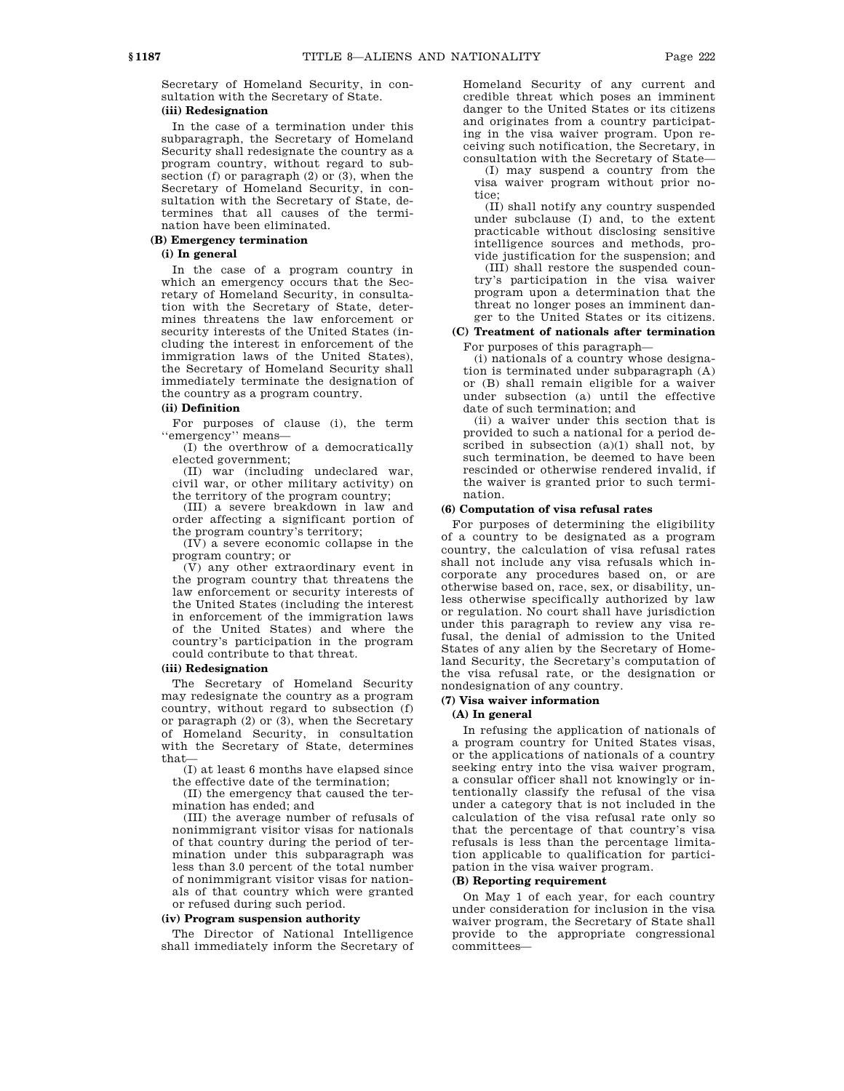Secretary of Homeland Security, in consultation with the Secretary of State.

# **(iii) Redesignation**

In the case of a termination under this subparagraph, the Secretary of Homeland Security shall redesignate the country as a program country, without regard to subsection (f) or paragraph (2) or (3), when the Secretary of Homeland Security, in consultation with the Secretary of State, determines that all causes of the termination have been eliminated.

# **(B) Emergency termination**

# **(i) In general**

In the case of a program country in which an emergency occurs that the Secretary of Homeland Security, in consultation with the Secretary of State, determines threatens the law enforcement or security interests of the United States (including the interest in enforcement of the immigration laws of the United States), the Secretary of Homeland Security shall immediately terminate the designation of the country as a program country.

# **(ii) Definition**

For purposes of clause (i), the term ''emergency'' means—

(I) the overthrow of a democratically elected government;

(II) war (including undeclared war, civil war, or other military activity) on the territory of the program country;

(III) a severe breakdown in law and order affecting a significant portion of the program country's territory;

(IV) a severe economic collapse in the program country; or

(V) any other extraordinary event in the program country that threatens the law enforcement or security interests of the United States (including the interest in enforcement of the immigration laws of the United States) and where the country's participation in the program could contribute to that threat.

#### **(iii) Redesignation**

The Secretary of Homeland Security may redesignate the country as a program country, without regard to subsection (f) or paragraph (2) or (3), when the Secretary of Homeland Security, in consultation with the Secretary of State, determines that—

(I) at least 6 months have elapsed since the effective date of the termination;

(II) the emergency that caused the termination has ended; and

(III) the average number of refusals of nonimmigrant visitor visas for nationals of that country during the period of termination under this subparagraph was less than 3.0 percent of the total number of nonimmigrant visitor visas for nationals of that country which were granted or refused during such period.

#### **(iv) Program suspension authority**

The Director of National Intelligence shall immediately inform the Secretary of Homeland Security of any current and credible threat which poses an imminent danger to the United States or its citizens and originates from a country participating in the visa waiver program. Upon receiving such notification, the Secretary, in consultation with the Secretary of State—

(I) may suspend a country from the visa waiver program without prior notice

(II) shall notify any country suspended under subclause (I) and, to the extent practicable without disclosing sensitive intelligence sources and methods, provide justification for the suspension; and

(III) shall restore the suspended country's participation in the visa waiver program upon a determination that the threat no longer poses an imminent danger to the United States or its citizens.

# **(C) Treatment of nationals after termination** For purposes of this paragraph—

(i) nationals of a country whose designation is terminated under subparagraph (A) or (B) shall remain eligible for a waiver under subsection (a) until the effective date of such termination; and

(ii) a waiver under this section that is provided to such a national for a period described in subsection (a)(1) shall not, by such termination, be deemed to have been rescinded or otherwise rendered invalid, if the waiver is granted prior to such termination.

# **(6) Computation of visa refusal rates**

For purposes of determining the eligibility of a country to be designated as a program country, the calculation of visa refusal rates shall not include any visa refusals which incorporate any procedures based on, or are otherwise based on, race, sex, or disability, unless otherwise specifically authorized by law or regulation. No court shall have jurisdiction under this paragraph to review any visa refusal, the denial of admission to the United States of any alien by the Secretary of Homeland Security, the Secretary's computation of the visa refusal rate, or the designation or nondesignation of any country.

# **(7) Visa waiver information**

#### **(A) In general**

In refusing the application of nationals of a program country for United States visas, or the applications of nationals of a country seeking entry into the visa waiver program, a consular officer shall not knowingly or intentionally classify the refusal of the visa under a category that is not included in the calculation of the visa refusal rate only so that the percentage of that country's visa refusals is less than the percentage limitation applicable to qualification for participation in the visa waiver program.

#### **(B) Reporting requirement**

On May 1 of each year, for each country under consideration for inclusion in the visa waiver program, the Secretary of State shall provide to the appropriate congressional committees—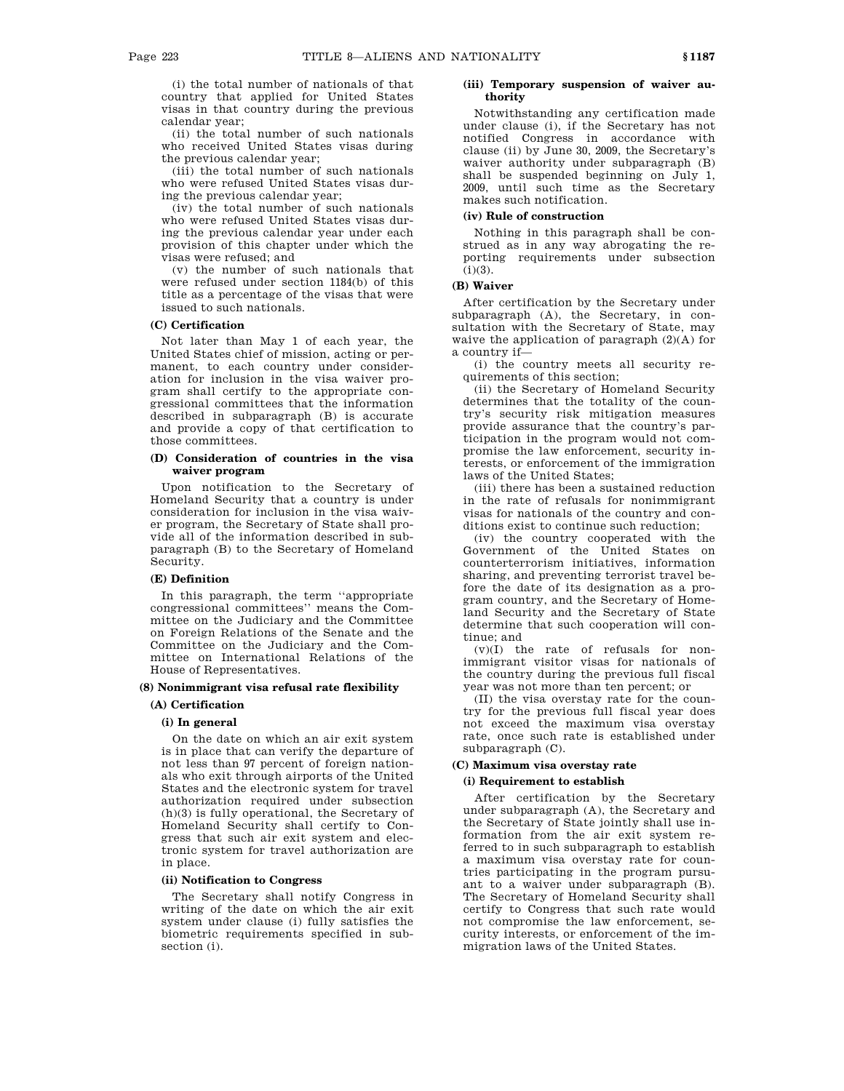(i) the total number of nationals of that country that applied for United States visas in that country during the previous calendar year;

(ii) the total number of such nationals who received United States visas during the previous calendar year;

(iii) the total number of such nationals who were refused United States visas during the previous calendar year;

(iv) the total number of such nationals who were refused United States visas during the previous calendar year under each provision of this chapter under which the visas were refused; and

(v) the number of such nationals that were refused under section 1184(b) of this title as a percentage of the visas that were issued to such nationals.

# **(C) Certification**

Not later than May 1 of each year, the United States chief of mission, acting or permanent, to each country under consideration for inclusion in the visa waiver program shall certify to the appropriate congressional committees that the information described in subparagraph (B) is accurate and provide a copy of that certification to those committees.

# **(D) Consideration of countries in the visa waiver program**

Upon notification to the Secretary of Homeland Security that a country is under consideration for inclusion in the visa waiver program, the Secretary of State shall provide all of the information described in subparagraph (B) to the Secretary of Homeland Security.

#### **(E) Definition**

In this paragraph, the term ''appropriate congressional committees'' means the Committee on the Judiciary and the Committee on Foreign Relations of the Senate and the Committee on the Judiciary and the Committee on International Relations of the House of Representatives.

# **(8) Nonimmigrant visa refusal rate flexibility**

# **(A) Certification**

#### **(i) In general**

On the date on which an air exit system is in place that can verify the departure of not less than 97 percent of foreign nationals who exit through airports of the United States and the electronic system for travel authorization required under subsection (h)(3) is fully operational, the Secretary of Homeland Security shall certify to Congress that such air exit system and electronic system for travel authorization are in place.

# **(ii) Notification to Congress**

The Secretary shall notify Congress in writing of the date on which the air exit system under clause (i) fully satisfies the biometric requirements specified in subsection (i).

# **(iii) Temporary suspension of waiver authority**

Notwithstanding any certification made under clause (i), if the Secretary has not notified Congress in accordance with clause (ii) by June 30, 2009, the Secretary's waiver authority under subparagraph (B) shall be suspended beginning on July 1, 2009, until such time as the Secretary makes such notification.

#### **(iv) Rule of construction**

Nothing in this paragraph shall be construed as in any way abrogating the reporting requirements under subsection  $(i)(3)$ .

# **(B) Waiver**

After certification by the Secretary under subparagraph (A), the Secretary, in consultation with the Secretary of State, may waive the application of paragraph (2)(A) for a country if—

(i) the country meets all security requirements of this section;

(ii) the Secretary of Homeland Security determines that the totality of the country's security risk mitigation measures provide assurance that the country's participation in the program would not compromise the law enforcement, security interests, or enforcement of the immigration laws of the United States;

(iii) there has been a sustained reduction in the rate of refusals for nonimmigrant visas for nationals of the country and conditions exist to continue such reduction;

(iv) the country cooperated with the Government of the United States on counterterrorism initiatives, information sharing, and preventing terrorist travel before the date of its designation as a program country, and the Secretary of Homeland Security and the Secretary of State determine that such cooperation will continue; and

(v)(I) the rate of refusals for nonimmigrant visitor visas for nationals of the country during the previous full fiscal year was not more than ten percent; or

(II) the visa overstay rate for the country for the previous full fiscal year does not exceed the maximum visa overstay rate, once such rate is established under subparagraph (C).

# **(C) Maximum visa overstay rate**

# **(i) Requirement to establish**

After certification by the Secretary under subparagraph (A), the Secretary and the Secretary of State jointly shall use information from the air exit system referred to in such subparagraph to establish a maximum visa overstay rate for countries participating in the program pursuant to a waiver under subparagraph (B). The Secretary of Homeland Security shall certify to Congress that such rate would not compromise the law enforcement, security interests, or enforcement of the immigration laws of the United States.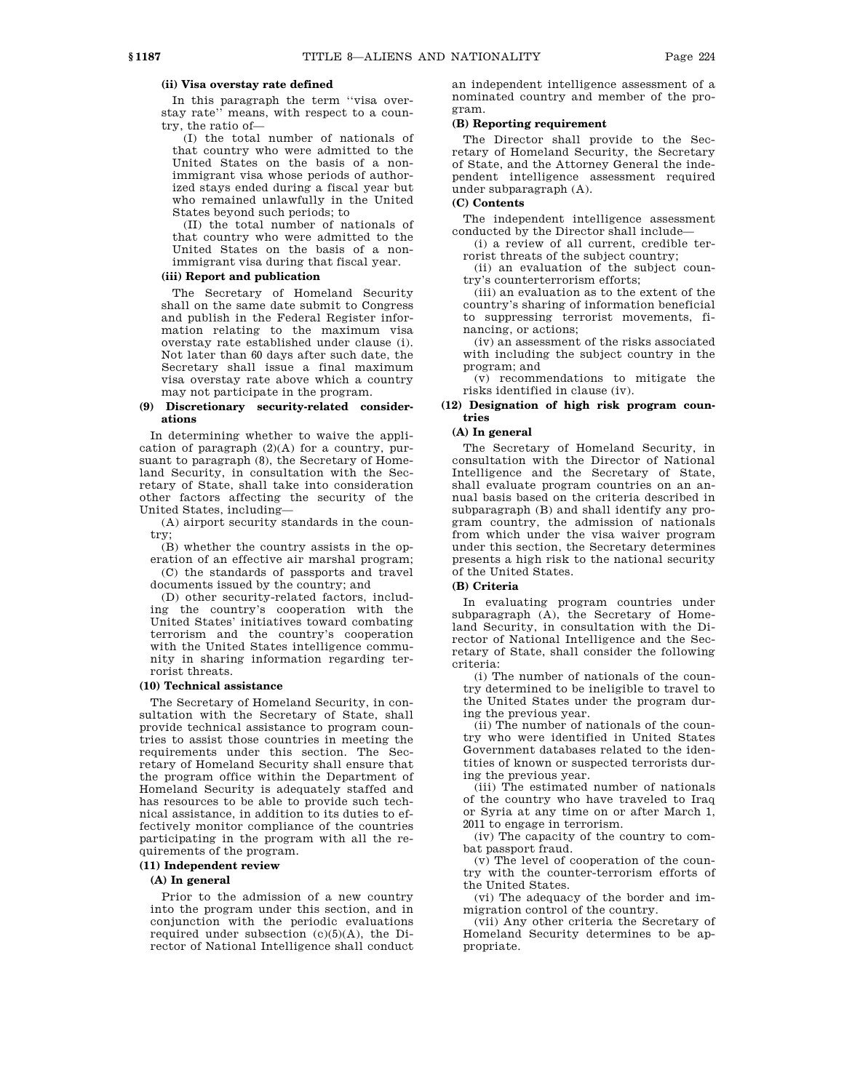# **(ii) Visa overstay rate defined**

In this paragraph the term ''visa overstay rate'' means, with respect to a country, the ratio of—

(I) the total number of nationals of that country who were admitted to the United States on the basis of a nonimmigrant visa whose periods of authorized stays ended during a fiscal year but who remained unlawfully in the United States beyond such periods; to

(II) the total number of nationals of that country who were admitted to the United States on the basis of a nonimmigrant visa during that fiscal year.

# **(iii) Report and publication**

The Secretary of Homeland Security shall on the same date submit to Congress and publish in the Federal Register information relating to the maximum visa overstay rate established under clause (i). Not later than 60 days after such date, the Secretary shall issue a final maximum visa overstay rate above which a country may not participate in the program.

#### **(9) Discretionary security-related considerations**

In determining whether to waive the application of paragraph (2)(A) for a country, pursuant to paragraph (8), the Secretary of Homeland Security, in consultation with the Secretary of State, shall take into consideration other factors affecting the security of the United States, including—

(A) airport security standards in the country;

(B) whether the country assists in the operation of an effective air marshal program;

(C) the standards of passports and travel documents issued by the country; and

(D) other security-related factors, including the country's cooperation with the United States' initiatives toward combating terrorism and the country's cooperation with the United States intelligence community in sharing information regarding terrorist threats.

# **(10) Technical assistance**

The Secretary of Homeland Security, in consultation with the Secretary of State, shall provide technical assistance to program countries to assist those countries in meeting the requirements under this section. The Secretary of Homeland Security shall ensure that the program office within the Department of Homeland Security is adequately staffed and has resources to be able to provide such technical assistance, in addition to its duties to effectively monitor compliance of the countries participating in the program with all the requirements of the program.

#### **(11) Independent review**

# **(A) In general**

Prior to the admission of a new country into the program under this section, and in conjunction with the periodic evaluations required under subsection  $(c)(5)(A)$ , the Director of National Intelligence shall conduct an independent intelligence assessment of a nominated country and member of the program.

#### **(B) Reporting requirement**

The Director shall provide to the Secretary of Homeland Security, the Secretary of State, and the Attorney General the independent intelligence assessment required under subparagraph (A).

# **(C) Contents**

The independent intelligence assessment conducted by the Director shall include—

(i) a review of all current, credible terrorist threats of the subject country;

(ii) an evaluation of the subject country's counterterrorism efforts;

(iii) an evaluation as to the extent of the country's sharing of information beneficial to suppressing terrorist movements, financing, or actions;

(iv) an assessment of the risks associated with including the subject country in the program; and

(v) recommendations to mitigate the risks identified in clause (iv).

# **(12) Designation of high risk program countries**

#### **(A) In general**

The Secretary of Homeland Security, in consultation with the Director of National Intelligence and the Secretary of State, shall evaluate program countries on an annual basis based on the criteria described in subparagraph (B) and shall identify any program country, the admission of nationals from which under the visa waiver program under this section, the Secretary determines presents a high risk to the national security of the United States.

#### **(B) Criteria**

In evaluating program countries under subparagraph (A), the Secretary of Homeland Security, in consultation with the Director of National Intelligence and the Secretary of State, shall consider the following criteria:

(i) The number of nationals of the country determined to be ineligible to travel to the United States under the program during the previous year.

(ii) The number of nationals of the country who were identified in United States Government databases related to the identities of known or suspected terrorists during the previous year.

(iii) The estimated number of nationals of the country who have traveled to Iraq or Syria at any time on or after March 1, 2011 to engage in terrorism.

(iv) The capacity of the country to combat passport fraud.

(v) The level of cooperation of the country with the counter-terrorism efforts of the United States.

(vi) The adequacy of the border and immigration control of the country.

(vii) Any other criteria the Secretary of Homeland Security determines to be appropriate.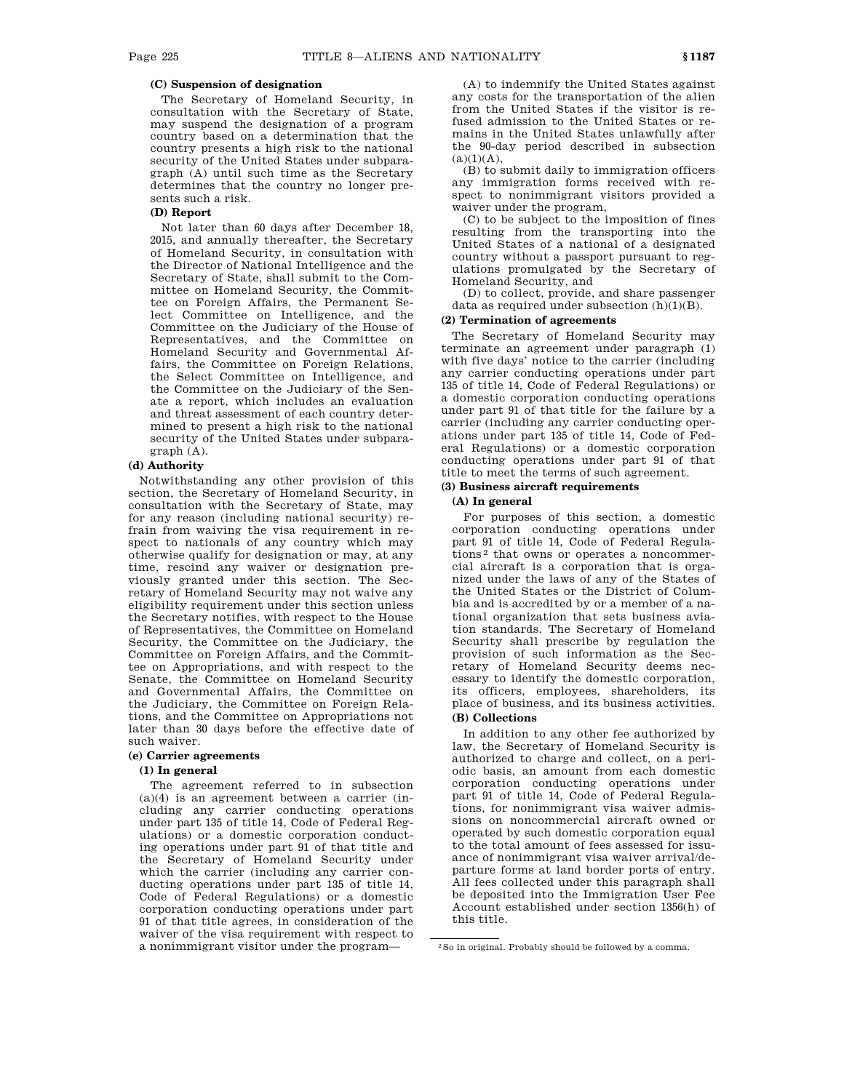# **(C) Suspension of designation**

The Secretary of Homeland Security, in consultation with the Secretary of State, may suspend the designation of a program country based on a determination that the country presents a high risk to the national security of the United States under subparagraph (A) until such time as the Secretary determines that the country no longer presents such a risk.

## **(D) Report**

Not later than 60 days after December 18, 2015, and annually thereafter, the Secretary of Homeland Security, in consultation with the Director of National Intelligence and the Secretary of State, shall submit to the Committee on Homeland Security, the Committee on Foreign Affairs, the Permanent Select Committee on Intelligence, and the Committee on the Judiciary of the House of Representatives, and the Committee on Homeland Security and Governmental Affairs, the Committee on Foreign Relations, the Select Committee on Intelligence, and the Committee on the Judiciary of the Senate a report, which includes an evaluation and threat assessment of each country determined to present a high risk to the national security of the United States under subparagraph (A).

# **(d) Authority**

Notwithstanding any other provision of this section, the Secretary of Homeland Security, in consultation with the Secretary of State, may for any reason (including national security) refrain from waiving the visa requirement in respect to nationals of any country which may otherwise qualify for designation or may, at any time, rescind any waiver or designation previously granted under this section. The Secretary of Homeland Security may not waive any eligibility requirement under this section unless the Secretary notifies, with respect to the House of Representatives, the Committee on Homeland Security, the Committee on the Judiciary, the Committee on Foreign Affairs, and the Committee on Appropriations, and with respect to the Senate, the Committee on Homeland Security and Governmental Affairs, the Committee on the Judiciary, the Committee on Foreign Relations, and the Committee on Appropriations not later than 30 days before the effective date of such waiver.

# **(e) Carrier agreements**

## **(1) In general**

The agreement referred to in subsection (a)(4) is an agreement between a carrier (including any carrier conducting operations under part 135 of title 14, Code of Federal Regulations) or a domestic corporation conducting operations under part 91 of that title and the Secretary of Homeland Security under which the carrier (including any carrier conducting operations under part 135 of title 14, Code of Federal Regulations) or a domestic corporation conducting operations under part 91 of that title agrees, in consideration of the waiver of the visa requirement with respect to a nonimmigrant visitor under the program—

(A) to indemnify the United States against any costs for the transportation of the alien from the United States if the visitor is refused admission to the United States or remains in the United States unlawfully after the 90-day period described in subsection  $(a)(1)(A),$ 

(B) to submit daily to immigration officers any immigration forms received with respect to nonimmigrant visitors provided a waiver under the program,

(C) to be subject to the imposition of fines resulting from the transporting into the United States of a national of a designated country without a passport pursuant to regulations promulgated by the Secretary of Homeland Security, and

(D) to collect, provide, and share passenger data as required under subsection  $(h)(1)(B)$ .

# **(2) Termination of agreements**

The Secretary of Homeland Security may terminate an agreement under paragraph (1) with five days' notice to the carrier (including any carrier conducting operations under part 135 of title 14, Code of Federal Regulations) or a domestic corporation conducting operations under part 91 of that title for the failure by a carrier (including any carrier conducting operations under part 135 of title 14, Code of Federal Regulations) or a domestic corporation conducting operations under part 91 of that title to meet the terms of such agreement.

# **(3) Business aircraft requirements**

# **(A) In general**

For purposes of this section, a domestic corporation conducting operations under part 91 of title 14, Code of Federal Regulations 2 that owns or operates a noncommercial aircraft is a corporation that is organized under the laws of any of the States of the United States or the District of Columbia and is accredited by or a member of a national organization that sets business aviation standards. The Secretary of Homeland Security shall prescribe by regulation the provision of such information as the Secretary of Homeland Security deems necessary to identify the domestic corporation, its officers, employees, shareholders, its place of business, and its business activities. **(B) Collections**

In addition to any other fee authorized by law, the Secretary of Homeland Security is authorized to charge and collect, on a periodic basis, an amount from each domestic corporation conducting operations under part 91 of title 14, Code of Federal Regulations, for nonimmigrant visa waiver admissions on noncommercial aircraft owned or operated by such domestic corporation equal to the total amount of fees assessed for issuance of nonimmigrant visa waiver arrival/departure forms at land border ports of entry. All fees collected under this paragraph shall be deposited into the Immigration User Fee Account established under section 1356(h) of this title.

<sup>2</sup>So in original. Probably should be followed by a comma.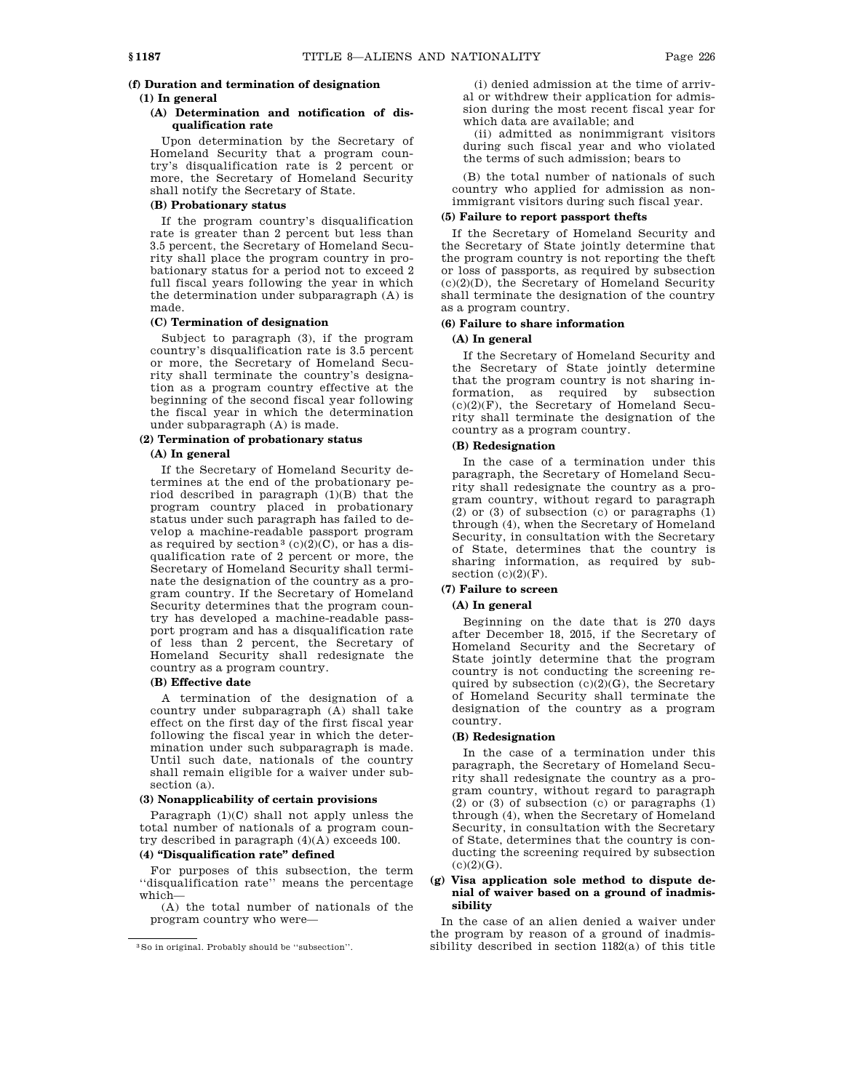# **(f) Duration and termination of designation**

# **(1) In general**

# **(A) Determination and notification of disqualification rate**

Upon determination by the Secretary of Homeland Security that a program country's disqualification rate is 2 percent or more, the Secretary of Homeland Security shall notify the Secretary of State.

# **(B) Probationary status**

If the program country's disqualification rate is greater than 2 percent but less than 3.5 percent, the Secretary of Homeland Security shall place the program country in probationary status for a period not to exceed 2 full fiscal years following the year in which the determination under subparagraph (A) is made.

### **(C) Termination of designation**

Subject to paragraph (3), if the program country's disqualification rate is 3.5 percent or more, the Secretary of Homeland Security shall terminate the country's designation as a program country effective at the beginning of the second fiscal year following the fiscal year in which the determination under subparagraph (A) is made.

# **(2) Termination of probationary status**

# **(A) In general**

If the Secretary of Homeland Security determines at the end of the probationary period described in paragraph (1)(B) that the program country placed in probationary status under such paragraph has failed to develop a machine-readable passport program as required by section<sup>3</sup> (c)(2)(C), or has a disqualification rate of 2 percent or more, the Secretary of Homeland Security shall terminate the designation of the country as a program country. If the Secretary of Homeland Security determines that the program country has developed a machine-readable passport program and has a disqualification rate of less than 2 percent, the Secretary of Homeland Security shall redesignate the country as a program country.

# **(B) Effective date**

A termination of the designation of a country under subparagraph (A) shall take effect on the first day of the first fiscal year following the fiscal year in which the determination under such subparagraph is made. Until such date, nationals of the country shall remain eligible for a waiver under subsection (a).

### **(3) Nonapplicability of certain provisions**

Paragraph (1)(C) shall not apply unless the total number of nationals of a program country described in paragraph (4)(A) exceeds 100.

# **(4) ''Disqualification rate'' defined**

For purposes of this subsection, the term ''disqualification rate'' means the percentage which—

(A) the total number of nationals of the program country who were—

(i) denied admission at the time of arrival or withdrew their application for admission during the most recent fiscal year for which data are available; and

(ii) admitted as nonimmigrant visitors during such fiscal year and who violated the terms of such admission; bears to

(B) the total number of nationals of such country who applied for admission as nonimmigrant visitors during such fiscal year.

# **(5) Failure to report passport thefts**

If the Secretary of Homeland Security and the Secretary of State jointly determine that the program country is not reporting the theft or loss of passports, as required by subsection (c)(2)(D), the Secretary of Homeland Security shall terminate the designation of the country as a program country.

# **(6) Failure to share information**

# **(A) In general**

If the Secretary of Homeland Security and the Secretary of State jointly determine that the program country is not sharing information, as required by subsection (c)(2)(F), the Secretary of Homeland Security shall terminate the designation of the country as a program country.

#### **(B) Redesignation**

In the case of a termination under this paragraph, the Secretary of Homeland Security shall redesignate the country as a program country, without regard to paragraph (2) or (3) of subsection (c) or paragraphs (1) through (4), when the Secretary of Homeland Security, in consultation with the Secretary of State, determines that the country is sharing information, as required by subsection  $(c)(2)(F)$ .

#### **(7) Failure to screen**

# **(A) In general**

Beginning on the date that is 270 days after December 18, 2015, if the Secretary of Homeland Security and the Secretary of State jointly determine that the program country is not conducting the screening required by subsection  $(c)(2)(G)$ , the Secretary of Homeland Security shall terminate the designation of the country as a program country.

#### **(B) Redesignation**

In the case of a termination under this paragraph, the Secretary of Homeland Security shall redesignate the country as a program country, without regard to paragraph (2) or (3) of subsection (c) or paragraphs (1) through (4), when the Secretary of Homeland Security, in consultation with the Secretary of State, determines that the country is conducting the screening required by subsection  $(c)(2)(G).$ 

# **(g) Visa application sole method to dispute denial of waiver based on a ground of inadmissibility**

In the case of an alien denied a waiver under the program by reason of a ground of inadmissibility described in section 1182(a) of this title

<sup>3</sup>So in original. Probably should be ''subsection''.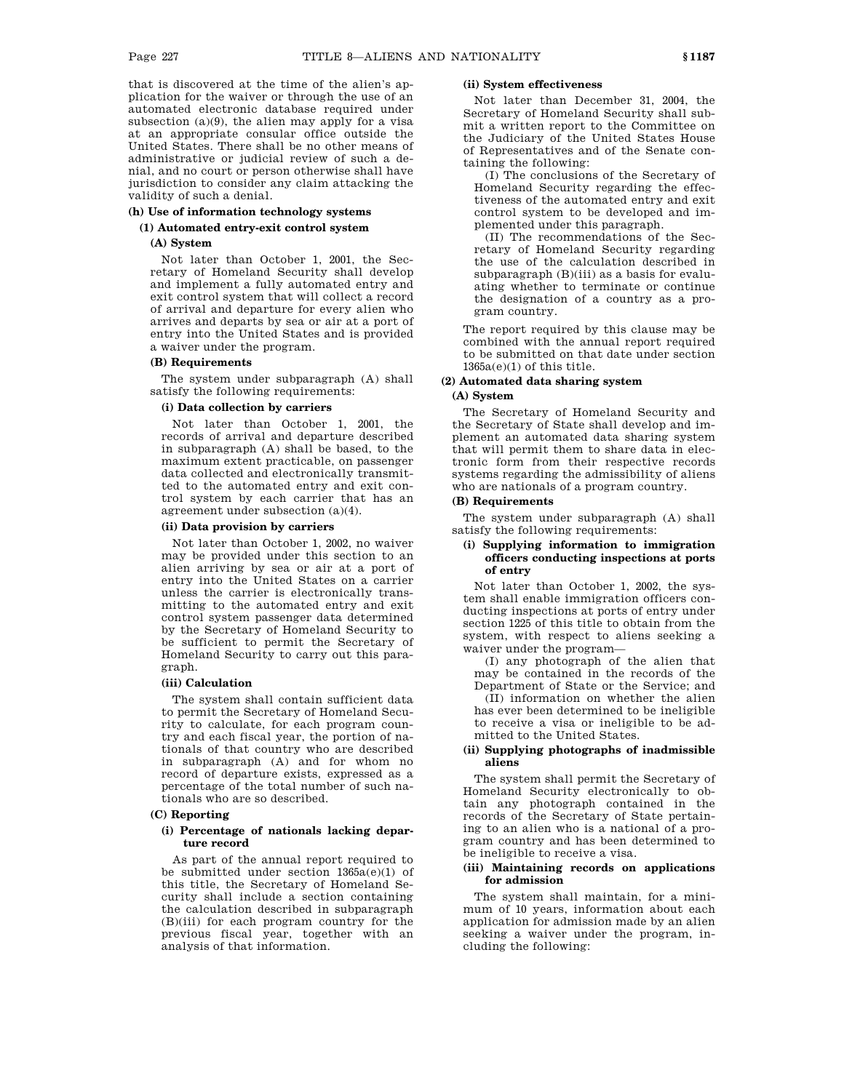that is discovered at the time of the alien's application for the waiver or through the use of an automated electronic database required under subsection (a)(9), the alien may apply for a visa at an appropriate consular office outside the United States. There shall be no other means of administrative or judicial review of such a denial, and no court or person otherwise shall have jurisdiction to consider any claim attacking the validity of such a denial.

#### **(h) Use of information technology systems**

# **(1) Automated entry-exit control system**

# **(A) System**

Not later than October 1, 2001, the Secretary of Homeland Security shall develop and implement a fully automated entry and exit control system that will collect a record of arrival and departure for every alien who arrives and departs by sea or air at a port of entry into the United States and is provided a waiver under the program.

# **(B) Requirements**

The system under subparagraph (A) shall satisfy the following requirements:

# **(i) Data collection by carriers**

Not later than October 1, 2001, the records of arrival and departure described in subparagraph (A) shall be based, to the maximum extent practicable, on passenger data collected and electronically transmitted to the automated entry and exit control system by each carrier that has an agreement under subsection (a)(4).

#### **(ii) Data provision by carriers**

Not later than October 1, 2002, no waiver may be provided under this section to an alien arriving by sea or air at a port of entry into the United States on a carrier unless the carrier is electronically transmitting to the automated entry and exit control system passenger data determined by the Secretary of Homeland Security to be sufficient to permit the Secretary of Homeland Security to carry out this paragraph.

## **(iii) Calculation**

The system shall contain sufficient data to permit the Secretary of Homeland Security to calculate, for each program country and each fiscal year, the portion of nationals of that country who are described in subparagraph (A) and for whom no record of departure exists, expressed as a percentage of the total number of such nationals who are so described.

#### **(C) Reporting**

## **(i) Percentage of nationals lacking departure record**

As part of the annual report required to be submitted under section 1365a(e)(1) of this title, the Secretary of Homeland Security shall include a section containing the calculation described in subparagraph (B)(iii) for each program country for the previous fiscal year, together with an analysis of that information.

# **(ii) System effectiveness**

Not later than December 31, 2004, the Secretary of Homeland Security shall submit a written report to the Committee on the Judiciary of the United States House of Representatives and of the Senate containing the following:

(I) The conclusions of the Secretary of Homeland Security regarding the effectiveness of the automated entry and exit control system to be developed and implemented under this paragraph.

(II) The recommendations of the Secretary of Homeland Security regarding the use of the calculation described in subparagraph (B)(iii) as a basis for evaluating whether to terminate or continue the designation of a country as a program country.

The report required by this clause may be combined with the annual report required to be submitted on that date under section  $1365a(e)(1)$  of this title.

# **(2) Automated data sharing system**

# **(A) System**

The Secretary of Homeland Security and the Secretary of State shall develop and implement an automated data sharing system that will permit them to share data in electronic form from their respective records systems regarding the admissibility of aliens who are nationals of a program country.

# **(B) Requirements**

The system under subparagraph (A) shall satisfy the following requirements:

# **(i) Supplying information to immigration officers conducting inspections at ports of entry**

Not later than October 1, 2002, the system shall enable immigration officers conducting inspections at ports of entry under section 1225 of this title to obtain from the system, with respect to aliens seeking a waiver under the program—

(I) any photograph of the alien that may be contained in the records of the Department of State or the Service; and (II) information on whether the alien has ever been determined to be ineligible

to receive a visa or ineligible to be admitted to the United States.

# **(ii) Supplying photographs of inadmissible aliens**

The system shall permit the Secretary of Homeland Security electronically to obtain any photograph contained in the records of the Secretary of State pertaining to an alien who is a national of a program country and has been determined to be ineligible to receive a visa.

#### **(iii) Maintaining records on applications for admission**

The system shall maintain, for a minimum of 10 years, information about each application for admission made by an alien seeking a waiver under the program, including the following: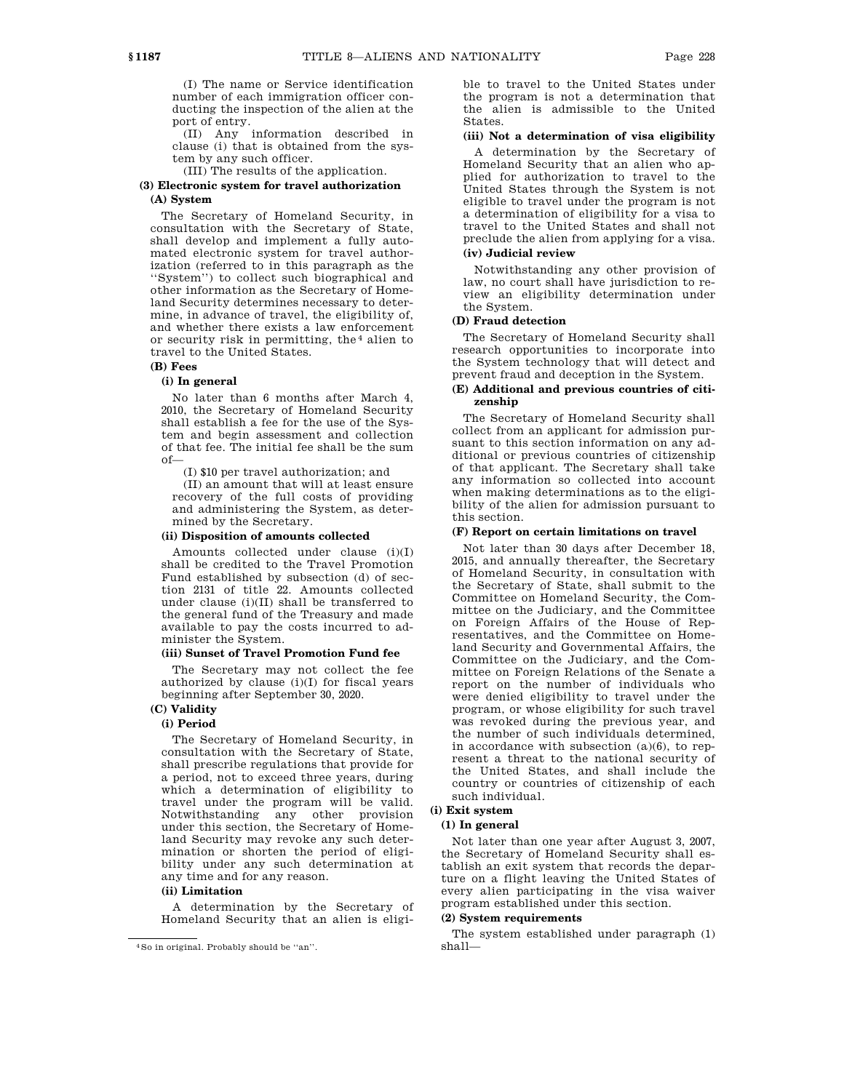(I) The name or Service identification number of each immigration officer conducting the inspection of the alien at the port of entry.

(II) Any information described in clause (i) that is obtained from the system by any such officer.

(III) The results of the application.

# **(3) Electronic system for travel authorization (A) System**

The Secretary of Homeland Security, in consultation with the Secretary of State, shall develop and implement a fully automated electronic system for travel authorization (referred to in this paragraph as the ''System'') to collect such biographical and other information as the Secretary of Homeland Security determines necessary to determine, in advance of travel, the eligibility of, and whether there exists a law enforcement or security risk in permitting, the 4 alien to travel to the United States.

# **(B) Fees**

# **(i) In general**

No later than 6 months after March 4, 2010, the Secretary of Homeland Security shall establish a fee for the use of the System and begin assessment and collection of that fee. The initial fee shall be the sum of—

(I) \$10 per travel authorization; and

(II) an amount that will at least ensure recovery of the full costs of providing and administering the System, as determined by the Secretary.

# **(ii) Disposition of amounts collected**

Amounts collected under clause (i)(I) shall be credited to the Travel Promotion Fund established by subsection (d) of section 2131 of title 22. Amounts collected under clause  $(i)(II)$  shall be transferred to the general fund of the Treasury and made available to pay the costs incurred to administer the System.

#### **(iii) Sunset of Travel Promotion Fund fee**

The Secretary may not collect the fee authorized by clause (i)(I) for fiscal years beginning after September 30, 2020.

# **(C) Validity**

# **(i) Period**

The Secretary of Homeland Security, in consultation with the Secretary of State, shall prescribe regulations that provide for a period, not to exceed three years, during which a determination of eligibility to travel under the program will be valid. Notwithstanding any other provision under this section, the Secretary of Homeland Security may revoke any such determination or shorten the period of eligibility under any such determination at any time and for any reason.

# **(ii) Limitation**

A determination by the Secretary of Homeland Security that an alien is eligible to travel to the United States under the program is not a determination that the alien is admissible to the United States.

# **(iii) Not a determination of visa eligibility**

A determination by the Secretary of Homeland Security that an alien who applied for authorization to travel to the United States through the System is not eligible to travel under the program is not a determination of eligibility for a visa to travel to the United States and shall not preclude the alien from applying for a visa. **(iv) Judicial review**

Notwithstanding any other provision of law, no court shall have jurisdiction to review an eligibility determination under the System.

# **(D) Fraud detection**

The Secretary of Homeland Security shall research opportunities to incorporate into the System technology that will detect and prevent fraud and deception in the System.

# **(E) Additional and previous countries of citizenship**

The Secretary of Homeland Security shall collect from an applicant for admission pursuant to this section information on any additional or previous countries of citizenship of that applicant. The Secretary shall take any information so collected into account when making determinations as to the eligibility of the alien for admission pursuant to this section.

# **(F) Report on certain limitations on travel**

Not later than 30 days after December 18, 2015, and annually thereafter, the Secretary of Homeland Security, in consultation with the Secretary of State, shall submit to the Committee on Homeland Security, the Committee on the Judiciary, and the Committee on Foreign Affairs of the House of Representatives, and the Committee on Homeland Security and Governmental Affairs, the Committee on the Judiciary, and the Committee on Foreign Relations of the Senate a report on the number of individuals who were denied eligibility to travel under the program, or whose eligibility for such travel was revoked during the previous year, and the number of such individuals determined, in accordance with subsection (a)(6), to represent a threat to the national security of the United States, and shall include the country or countries of citizenship of each such individual.

# **(i) Exit system**

# **(1) In general**

Not later than one year after August 3, 2007, the Secretary of Homeland Security shall establish an exit system that records the departure on a flight leaving the United States of every alien participating in the visa waiver program established under this section.

# **(2) System requirements**

The system established under paragraph (1) shall—

<sup>4</sup>So in original. Probably should be ''an''.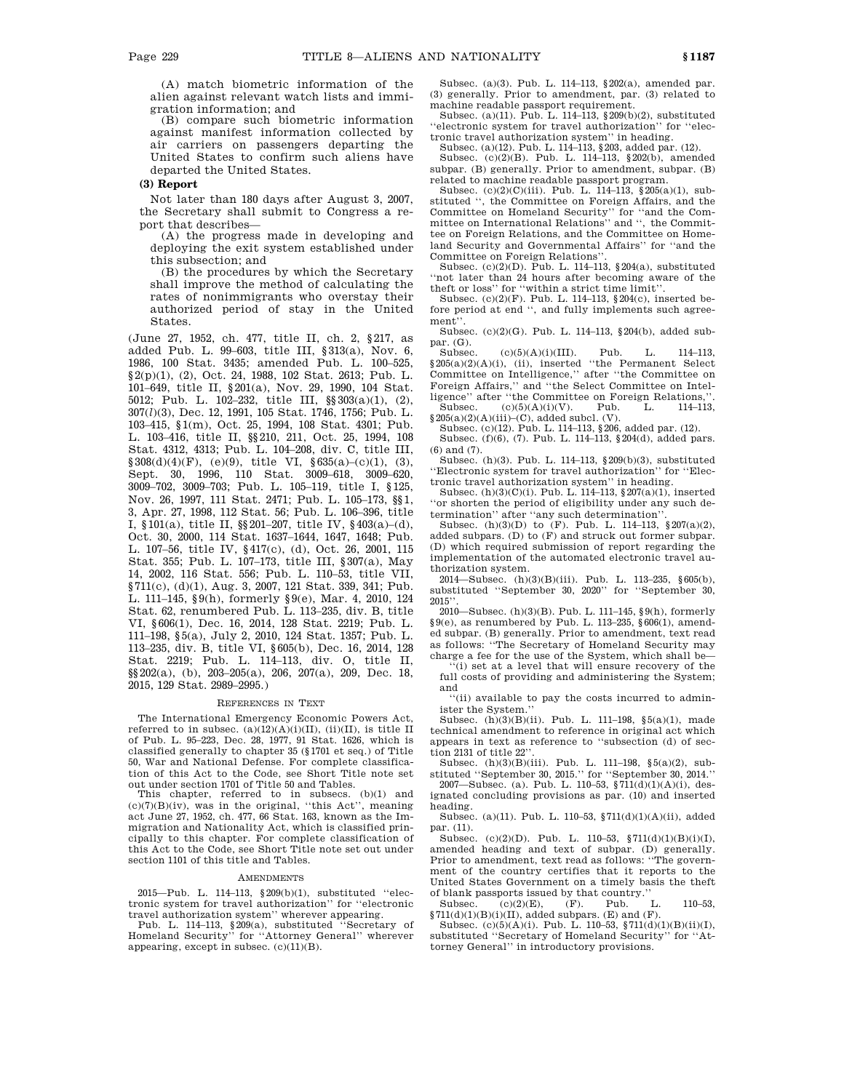(A) match biometric information of the alien against relevant watch lists and immigration information; and

(B) compare such biometric information against manifest information collected by air carriers on passengers departing the United States to confirm such aliens have departed the United States.

#### **(3) Report**

Not later than 180 days after August 3, 2007, the Secretary shall submit to Congress a report that describes—

(A) the progress made in developing and deploying the exit system established under this subsection; and

(B) the procedures by which the Secretary shall improve the method of calculating the rates of nonimmigrants who overstay their authorized period of stay in the United States.

(June 27, 1952, ch. 477, title II, ch. 2, §217, as added Pub. L. 99–603, title III, §313(a), Nov. 6, 1986, 100 Stat. 3435; amended Pub. L. 100–525, §2(p)(1), (2), Oct. 24, 1988, 102 Stat. 2613; Pub. L. 101–649, title II, §201(a), Nov. 29, 1990, 104 Stat. 5012; Pub. L. 102–232, title III, §§303(a)(1), (2), 307(*l*)(3), Dec. 12, 1991, 105 Stat. 1746, 1756; Pub. L. 103–415, §1(m), Oct. 25, 1994, 108 Stat. 4301; Pub. L. 103–416, title II, §§210, 211, Oct. 25, 1994, 108 Stat. 4312, 4313; Pub. L. 104–208, div. C, title III,  $\$308(d)(4)(F), (e)(9),$ title VI, $\$635(a)-(c)(1), (3),$ Sept. 30, 1996, 110 Stat. 3009–618, 3009–620, 3009–702, 3009–703; Pub. L. 105–119, title I, §125, Nov. 26, 1997, 111 Stat. 2471; Pub. L. 105–173, §§1, 3, Apr. 27, 1998, 112 Stat. 56; Pub. L. 106–396, title I, §101(a), title II, §§201–207, title IV, §403(a)–(d), Oct. 30, 2000, 114 Stat. 1637–1644, 1647, 1648; Pub. L. 107–56, title IV, §417(c), (d), Oct. 26, 2001, 115 Stat. 355; Pub. L. 107–173, title III, §307(a), May 14, 2002, 116 Stat. 556; Pub. L. 110–53, title VII, §711(c), (d)(1), Aug. 3, 2007, 121 Stat. 339, 341; Pub. L. 111–145, §9(h), formerly §9(e), Mar. 4, 2010, 124 Stat. 62, renumbered Pub. L. 113–235, div. B, title VI, §606(1), Dec. 16, 2014, 128 Stat. 2219; Pub. L. 111–198, §5(a), July 2, 2010, 124 Stat. 1357; Pub. L. 113–235, div. B, title VI, §605(b), Dec. 16, 2014, 128 Stat. 2219; Pub. L. 114–113, div. O, title II,  $\S$ §202(a), (b), 203–205(a), 206, 207(a), 209, Dec. 18, 2015, 129 Stat. 2989–2995.)

#### REFERENCES IN TEXT

The International Emergency Economic Powers Act, referred to in subsec.  $(a)(12)(A)(i)(II)$ ,  $(ii)(II)$ , is title II of Pub. L. 95–223, Dec. 28, 1977, 91 Stat. 1626, which is classified generally to chapter 35 (§1701 et seq.) of Title 50, War and National Defense. For complete classification of this Act to the Code, see Short Title note set out under section 1701 of Title 50 and Tables.

This chapter, referred to in subsecs. (b)(1) and  $(c)(7)(B)(iv)$ , was in the original, "this Act", meaning act June 27, 1952, ch. 477, 66 Stat. 163, known as the Immigration and Nationality Act, which is classified principally to this chapter. For complete classification of this Act to the Code, see Short Title note set out under section 1101 of this title and Tables.

#### AMENDMENTS

2015—Pub. L. 114–113, §209(b)(1), substituted ''electronic system for travel authorization'' for ''electronic travel authorization system'' wherever appearing.

Pub. L. 114–113, §209(a), substituted ''Secretary of Homeland Security'' for ''Attorney General'' wherever appearing, except in subsec.  $(c)(11)(B)$ .

Subsec. (a)(3). Pub. L. 114–113, §202(a), amended par. (3) generally. Prior to amendment, par. (3) related to machine readable passport requirement.

Subsec. (a)(11). Pub. L. 114–113,  $\$ 209(b)(2), substituted ''electronic system for travel authorization'' for ''electronic travel authorization system'' in heading.

Subsec. (a)(12). Pub. L. 114–113, §203, added par. (12). Subsec. (c)(2)(B). Pub. L. 114–113, §202(b), amended

subpar. (B) generally. Prior to amendment, subpar. (B)

related to machine readable passport program. Subsec. (c)(2)(C)(iii). Pub. L. 114–113, §205(a)(1), sub-stituted '', the Committee on Foreign Affairs, and the Committee on Homeland Security'' for ''and the Com-mittee on International Relations'' and '', the Committee on Foreign Relations, and the Committee on Homeland Security and Governmental Affairs'' for ''and the Committee on Foreign Relations''.

Subsec.  $(c)(2)(D)$ . Pub. L. 114–113, §204(a), substituted ''not later than 24 hours after becoming aware of the theft or loss'' for ''within a strict time limit''.

Subsec. (c)(2)(F). Pub. L. 114–113, §204(c), inserted before period at end ", and fully implements such agreement''.

Subsec. (c)(2)(G). Pub. L. 114–113, §204(b), added subpar. (G).<br>Subsec

 $(c)(5)(A)(i)(III)$ . Pub. L. 114–113, §205(a)(2)(A)(i), (ii), inserted ''the Permanent Select Committee on Intelligence,'' after ''the Committee on Foreign Affairs,'' and ''the Select Committee on Intelligence'' after "the Committee on Foreign Relations,".<br>Subsec.  $(0)(5)(A)(i)(V)$ . Pub. L. 114-113.

 $(c)(5)(A)(i)(V).$  $§205(a)(2)(A)(iii)–(C)$ , added subcl. (V).

Subsec. (c)(12). Pub. L. 114–113, §206, added par. (12). Subsec. (f)(6), (7). Pub. L. 114–113, §204(d), added pars. (6) and (7).

Subsec. (h)(3). Pub. L. 114–113, §209(b)(3), substituted ''Electronic system for travel authorization'' for ''Electronic travel authorization system'' in heading.

Subsec. (h)(3)(C)(i). Pub. L. 114–113, §207(a)(1), inserted ''or shorten the period of eligibility under any such determination'' after ''any such determination''.

Subsec.  $(h)(3)(D)$  to  $(F)$ . Pub. L. 114–113, §207(a)(2), added subpars. (D) to (F) and struck out former subpar. (D) which required submission of report regarding the implementation of the automated electronic travel authorization system.

2014—Subsec. (h)(3)(B)(iii). Pub. L. 113–235, §605(b), substituted ''September 30, 2020'' for ''September 30,  $2015$ 

 $2010$ —Subsec. (h)(3)(B). Pub. L. 111–145, §9(h), formerly  $§9(e)$ , as renumbered by Pub. L. 113-235,  $§606(1)$ , amended subpar. (B) generally. Prior to amendment, text read as follows: ''The Secretary of Homeland Security may charge a fee for the use of the System, which shall be—

''(i) set at a level that will ensure recovery of the full costs of providing and administering the System; and

''(ii) available to pay the costs incurred to administer the System.''

Subsec. (h)(3)(B)(ii). Pub. L. 111–198, §5(a)(1), made technical amendment to reference in original act which appears in text as reference to ''subsection (d) of section 2131 of title 22''.

Subsec. (h)(3)(B)(iii). Pub. L. 111–198, §5(a)(2), substituted ''September 30, 2015.'' for ''September 30, 2014.''

2007—Subsec. (a). Pub. L. 110–53, §711(d)(1)(A)(i), designated concluding provisions as par. (10) and inserted heading.

Subsec. (a)(11). Pub. L. 110–53, §711(d)(1)(A)(ii), added par. (11).

Subsec. (c)(2)(D). Pub. L. 110-53,  $$711(d)(1)(B)(i)(I),$ amended heading and text of subpar. (D) generally. Prior to amendment, text read as follows: ''The government of the country certifies that it reports to the United States Government on a timely basis the theft of blank passports issued by that country.''

Subsec. (c)(2)(E), (F). Pub. L. 110–53,  $$711(d)(1)(B)(i)(II)$ , added subpars. (E) and (F).

Subsec. (c)(5)(A)(i). Pub. L. 110–53, §711(d)(1)(B)(ii)(I), substituted "Secretary of Homeland Security" for "Attorney General'' in introductory provisions.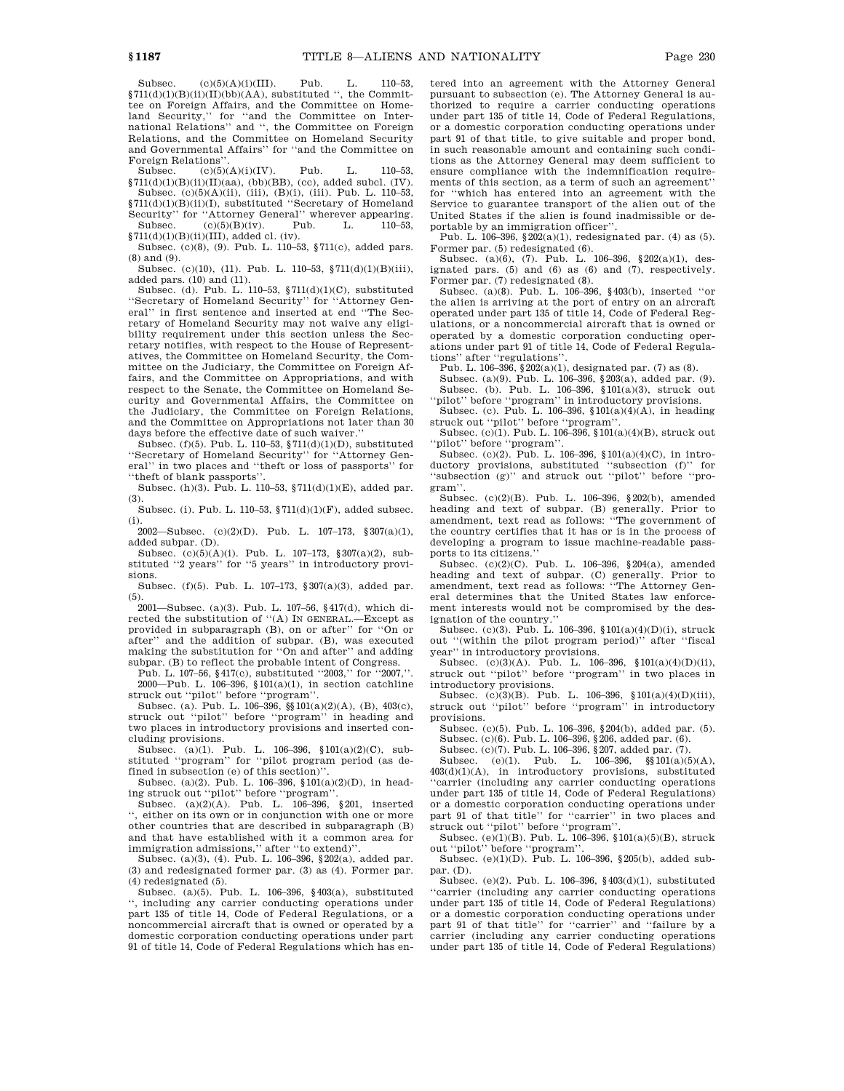Subsec. (c)(5)(A)(i)(III). Pub. L. 110-53,  $$711(d)(1)(B)(ii)(II)(bb)(AA)$ , substituted ", the Committee on Foreign Affairs, and the Committee on Homeland Security,'' for ''and the Committee on International Relations'' and '', the Committee on Foreign Relations, and the Committee on Homeland Security and Governmental Affairs'' for ''and the Committee on Foreign Relations''.<br>Subsec.  $(c)(5)(A)(i)(IV)$ .

Subsec.  $(c)(5)(A)(i)(IV)$ . Pub. L. 110-53, §711(d)(1)(B)(ii)(II)(aa), (bb)(BB), (cc), added subcl. (IV). Subsec. (c)(5)(A)(ii), (iii), (B)(i), (iii). Pub. L. 110–53,

§711(d)(1)(B)(ii)(I), substituted ''Secretary of Homeland Security'' for "Attorney General" wherever appearing.<br>Subsec.  $(c)(5)(B)(iv)$ . Pub. L. 110-53.  $(c)(5)(B)(iv).$ 

§711(d)(1)(B)(ii)(III), added cl. (iv). Subsec. (c)(8), (9). Pub. L. 110–53, §711(c), added pars.

(8) and (9). Subsec. (c)(10), (11). Pub. L. 110–53, §711(d)(1)(B)(iii),

added pars. (10) and (11).

Subsec. (d). Pub. L. 110–53, §711(d)(1)(C), substituted ''Secretary of Homeland Security'' for ''Attorney General'' in first sentence and inserted at end ''The Secretary of Homeland Security may not waive any eligibility requirement under this section unless the Secretary notifies, with respect to the House of Representatives, the Committee on Homeland Security, the Committee on the Judiciary, the Committee on Foreign Affairs, and the Committee on Appropriations, and with respect to the Senate, the Committee on Homeland Security and Governmental Affairs, the Committee on the Judiciary, the Committee on Foreign Relations, and the Committee on Appropriations not later than 30 days before the effective date of such waiver.''

Subsec. (f)(5). Pub. L. 110–53, §711(d)(1)(D), substituted ''Secretary of Homeland Security'' for ''Attorney General'' in two places and ''theft or loss of passports'' for ''theft of blank passports''.

Subsec. (h)(3). Pub. L. 110–53, §711(d)(1)(E), added par. (3).

Subsec. (i). Pub. L. 110–53, §711(d)(1)(F), added subsec. (i).

2002—Subsec. (c)(2)(D). Pub. L. 107–173, §307(a)(1), added subpar. (D).

Subsec. (c)(5)(A)(i). Pub. L. 107–173, §307(a)(2), substituted "2 years" for "5 years" in introductory provisions.

Subsec. (f)(5). Pub. L. 107–173, §307(a)(3), added par. (5).

2001—Subsec. (a)(3). Pub. L. 107–56, §417(d), which directed the substitution of ''(A) IN GENERAL.—Except as provided in subparagraph (B), on or after'' for ''On or after'' and the addition of subpar. (B), was executed making the substitution for "On and after" and adding subpar. (B) to reflect the probable intent of Congress.

Pub. L. 107–56, §417(c), substituted ''2003,'' for ''2007,''. 2000—Pub. L. 106–396, §101(a)(1), in section catchline struck out ''pilot'' before ''program''.

Subsec. (a). Pub. L. 106–396, §§101(a)(2)(A), (B), 403(c), struck out ''pilot'' before ''program'' in heading and two places in introductory provisions and inserted concluding provisions.

Subsec. (a)(1). Pub. L. 106–396, §101(a)(2)(C), substituted ''program'' for ''pilot program period (as defined in subsection (e) of this section)''.

Subsec. (a)(2). Pub. L. 106–396, §101(a)(2)(D), in heading struck out ''pilot'' before ''program''. Subsec. (a)(2)(A). Pub. L. 106–396, §201, inserted

either on its own or in conjunction with one or more other countries that are described in subparagraph (B) and that have established with it a common area for immigration admissions,'' after ''to extend)''.

Subsec. (a)(3), (4). Pub. L. 106–396, §202(a), added par. (3) and redesignated former par. (3) as (4). Former par. (4) redesignated (5).

Subsec. (a)(5). Pub. L. 106–396, §403(a), substituted '', including any carrier conducting operations under part 135 of title 14, Code of Federal Regulations, or a noncommercial aircraft that is owned or operated by a domestic corporation conducting operations under part 91 of title 14, Code of Federal Regulations which has entered into an agreement with the Attorney General pursuant to subsection (e). The Attorney General is authorized to require a carrier conducting operations under part 135 of title 14, Code of Federal Regulations, or a domestic corporation conducting operations under part 91 of that title, to give suitable and proper bond, in such reasonable amount and containing such conditions as the Attorney General may deem sufficient to ensure compliance with the indemnification requirements of this section, as a term of such an agreement'' for ''which has entered into an agreement with the Service to guarantee transport of the alien out of the United States if the alien is found inadmissible or deportable by an immigration officer''.

Pub. L. 106–396, §202(a)(1), redesignated par. (4) as (5). Former par. (5) redesignated (6). Subsec. (a)(6), (7). Pub. L. 106–396, §202(a)(1), des-

ignated pars.  $(5)$  and  $(6)$  as  $(6)$  and  $(7)$ , respectively.

Former par. (7) redesignated (8). Subsec. (a)(8). Pub. L. 106–396, §403(b), inserted ''or the alien is arriving at the port of entry on an aircraft operated under part 135 of title 14, Code of Federal Regulations, or a noncommercial aircraft that is owned or operated by a domestic corporation conducting operations under part 91 of title 14, Code of Federal Regulations'' after ''regulations''.

Pub. L. 106–396, §202(a)(1), designated par. (7) as (8).

Subsec. (a)(9). Pub. L. 106–396, §203(a), added par. (9). Subsec. (b). Pub. L. 106–396, §101(a)(3), struck out 'pilot'' before "program" in introductory provisions.

Subsec. (c). Pub. L. 106–396, §101(a)(4)(A), in heading struck out ''pilot'' before ''program''.

Subsec. (c)(1). Pub. L. 106–396, §101(a)(4)(B), struck out ''pilot'' before ''program''.

Subsec. (c)(2). Pub. L. 106–396, §101(a)(4)(C), in introductory provisions, substituted ''subsection (f)'' for ''subsection (g)'' and struck out ''pilot'' before ''program''.

Subsec. (c)(2)(B). Pub. L. 106–396, §202(b), amended heading and text of subpar. (B) generally. Prior to amendment, text read as follows: ''The government of the country certifies that it has or is in the process of developing a program to issue machine-readable passports to its citizens.''

Subsec. (c)(2)(C). Pub. L. 106–396, §204(a), amended heading and text of subpar. (C) generally. Prior to amendment, text read as follows: ''The Attorney General determines that the United States law enforcement interests would not be compromised by the des-

ignation of the country.'' Subsec. (c)(3). Pub. L. 106–396, §101(a)(4)(D)(i), struck out ''(within the pilot program period)'' after ''fiscal year'' in introductory provisions.

Subsec. (c)(3)(A). Pub. L. 106–396, §101(a)(4)(D)(ii), struck out ''pilot'' before ''program'' in two places in introductory provisions.

Subsec. (c)(3)(B). Pub. L. 106–396, §101(a)(4)(D)(iii), struck out ''pilot'' before ''program'' in introductory provisions.

Subsec. (c)(5). Pub. L. 106–396, §204(b), added par. (5). Subsec. (c)(6). Pub. L. 106–396, §206, added par. (6).

Subsec. (c)(7). Pub. L. 106–396, §207, added par. (7). Subsec. (e)(1). Pub. L. 106–396, §§101(a)(5)(A),  $403(d)(1)(A)$ , in introductory provisions, substituted ''carrier (including any carrier conducting operations under part 135 of title 14, Code of Federal Regulations) or a domestic corporation conducting operations under

part 91 of that title'' for ''carrier'' in two places and struck out ''pilot'' before ''program''. Subsec. (e)(1)(B). Pub. L. 106–396, §101(a)(5)(B), struck

out ''pilot'' before ''program''. Subsec. (e)(1)(D). Pub. L. 106–396, §205(b), added sub-

par. (D). Subsec. (e)(2). Pub. L. 106–396, §403(d)(1), substituted ''carrier (including any carrier conducting operations under part 135 of title 14, Code of Federal Regulations) or a domestic corporation conducting operations under part 91 of that title'' for ''carrier'' and ''failure by a carrier (including any carrier conducting operations under part 135 of title 14, Code of Federal Regulations)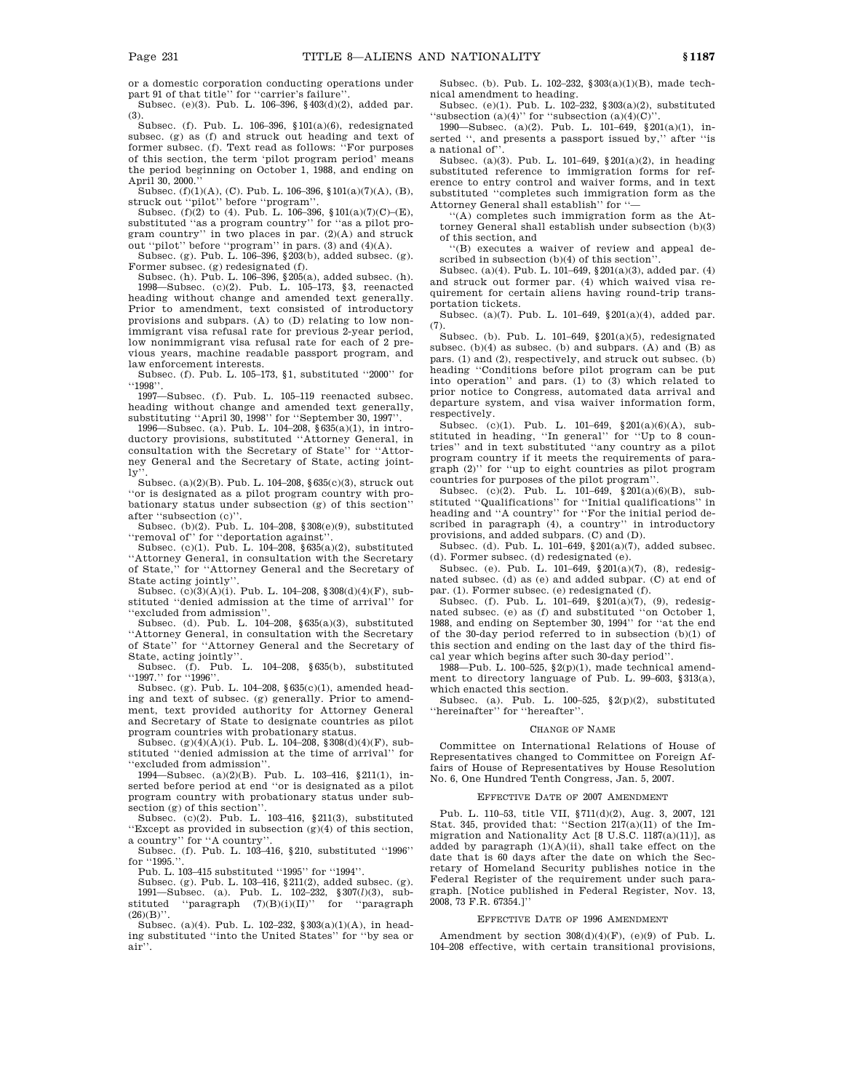or a domestic corporation conducting operations under part 91 of that title" for "carrier's failure"

Subsec. (e)(3). Pub. L. 106–396, §403(d)(2), added par. (3).

Subsec. (f). Pub. L. 106–396, §101(a)(6), redesignated subsec. (g) as (f) and struck out heading and text of former subsec. (f). Text read as follows: ''For purposes of this section, the term 'pilot program period' means the period beginning on October 1, 1988, and ending on April 30, 2000.''

Subsec. (f)(1)(A), (C). Pub. L. 106–396, §101(a)(7)(A), (B), struck out ''pilot'' before ''program''.

Subsec. (f)(2) to (4). Pub. L. 106-396,  $$101(a)(7)(C)–(E)$ , substituted ''as a program country'' for ''as a pilot program country'' in two places in par. (2)(A) and struck out ''pilot'' before ''program'' in pars. (3) and (4)(A).

Subsec. (g). Pub. L. 106–396, §203(b), added subsec. (g). Former subsec. (g) redesignated (f).

Subsec. (h). Pub. L. 106–396, §205(a), added subsec. (h). 1998—Subsec. (c)(2). Pub. L. 105–173, §3, reenacted heading without change and amended text generally. Prior to amendment, text consisted of introductory provisions and subpars. (A) to (D) relating to low nonimmigrant visa refusal rate for previous 2-year period, low nonimmigrant visa refusal rate for each of 2 previous years, machine readable passport program, and law enforcement interests.

Subsec. (f). Pub. L. 105–173, §1, substituted ''2000'' for ''1998''.

1997—Subsec. (f). Pub. L. 105–119 reenacted subsec. heading without change and amended text generally, substituting ''April 30, 1998'' for ''September 30, 1997''.

1996—Subsec. (a). Pub. L. 104–208, §635(a)(1), in introductory provisions, substituted ''Attorney General, in consultation with the Secretary of State'' for ''Attorney General and the Secretary of State, acting joint- $1y$ 

Subsec. (a)(2)(B). Pub. L. 104–208, §635(c)(3), struck out ''or is designated as a pilot program country with probationary status under subsection (g) of this section'' after ''subsection (c)''.

Subsec. (b)(2). Pub. L. 104–208, §308(e)(9), substituted ''removal of'' for ''deportation against''.

Subsec. (c)(1). Pub. L. 104–208,  $\S 635(a)(2)$ , substituted ''Attorney General, in consultation with the Secretary of State,'' for ''Attorney General and the Secretary of State acting jointly''.

Subsec. (c)(3)(A)(i). Pub. L. 104–208, §308(d)(4)(F), substituted ''denied admission at the time of arrival'' for ''excluded from admission''.

Subsec. (d). Pub. L. 104–208, §635(a)(3), substituted ''Attorney General, in consultation with the Secretary of State'' for ''Attorney General and the Secretary of State, acting jointly''.

Subsec. (f). Pub. L. 104–208, §635(b), substituted ''1997.'' for ''1996''.

Subsec. (g). Pub. L. 104–208, §635(c)(1), amended heading and text of subsec. (g) generally. Prior to amendment, text provided authority for Attorney General and Secretary of State to designate countries as pilot program countries with probationary status.

Subsec. (g)(4)(A)(i). Pub. L. 104–208, §308(d)(4)(F), substituted ''denied admission at the time of arrival'' for 'excluded from admission'

1994—Subsec. (a)(2)(B). Pub. L. 103–416, §211(1), inserted before period at end ''or is designated as a pilot program country with probationary status under subsection (g) of this section''.

Subsec.  $(c)(2)$ . Pub. L. 103-416, §211(3), substituted ''Except as provided in subsection (g)(4) of this section, a country" for "A country"

Subsec. (f). Pub. L. 103–416, §210, substituted ''1996'' for "1995."

Pub. L. 103–415 substituted ''1995'' for ''1994''.

Subsec. (g). Pub. L. 103–416, §211(2), added subsec. (g). 1991—Subsec. (a). Pub. L. 102–232, §307(*l*)(3), substituted ''paragraph  $(7)(B)(i)(II)$ '' for ''paragraph  $(26)(B)$ ".

Subsec. (a)(4). Pub. L. 102–232, §303(a)(1)(A), in head-ing substituted ''into the United States'' for ''by sea or air''.

Subsec. (b). Pub. L. 102–232, §303(a)(1)(B), made technical amendment to heading.

Subsec. (e)(1). Pub. L. 102–232, §303(a)(2), substituted "subsection  $(a)(4)$ " for "subsection  $(a)(4)(C)$ "

1990—Subsec. (a)(2). Pub. L. 101–649, §201(a)(1), inserted '', and presents a passport issued by,'' after ''is a national of"

Subsec. (a)(3). Pub. L. 101–649, §201(a)(2), in heading substituted reference to immigration forms for reference to entry control and waiver forms, and in text substituted ''completes such immigration form as the Attorney General shall establish" for '

''(A) completes such immigration form as the Attorney General shall establish under subsection (b)(3) of this section, and

''(B) executes a waiver of review and appeal described in subsection (b)(4) of this section'.

Subsec. (a)(4). Pub. L. 101–649, §201(a)(3), added par. (4) and struck out former par. (4) which waived visa requirement for certain aliens having round-trip transportation tickets.

Subsec. (a)(7). Pub. L. 101–649, §201(a)(4), added par. (7).

Subsec. (b). Pub. L. 101–649, §201(a)(5), redesignated subsec. (b)(4) as subsec. (b) and subpars. (A) and (B) as pars. (1) and (2), respectively, and struck out subsec. (b) heading ''Conditions before pilot program can be put into operation'' and pars. (1) to (3) which related to prior notice to Congress, automated data arrival and departure system, and visa waiver information form, respectively.

Subsec. (c)(1). Pub. L.  $101-649$ ,  $201(a)(6)(A)$ , substituted in heading, ''In general'' for ''Up to 8 countries'' and in text substituted ''any country as a pilot program country if it meets the requirements of paragraph (2)'' for ''up to eight countries as pilot program countries for purposes of the pilot program''.

Subsec. (c)(2). Pub. L. 101–649, §201(a)(6)(B), substituted ''Qualifications'' for ''Initial qualifications'' in heading and ''A country'' for ''For the initial period described in paragraph (4), a country'' in introductory provisions, and added subpars. (C) and (D).

Subsec. (d). Pub. L. 101–649, §201(a)(7), added subsec. (d). Former subsec. (d) redesignated (e).

Subsec. (e). Pub. L. 101-649, §201(a)(7), (8), redesignated subsec. (d) as (e) and added subpar. (C) at end of par. (1). Former subsec. (e) redesignated (f).

Subsec. (f). Pub. L. 101–649, §201(a)(7), (9), redesignated subsec. (e) as (f) and substituted ''on October 1, 1988, and ending on September 30, 1994'' for ''at the end of the 30-day period referred to in subsection (b)(1) of this section and ending on the last day of the third fiscal year which begins after such 30-day period''.

1988—Pub. L. 100–525, §2(p)(1), made technical amendment to directory language of Pub. L. 99–603, §313(a), which enacted this section.

Subsec. (a). Pub. L.  $100-525$ ,  $\S2(p)(2)$ , substituted ''hereinafter'' for ''hereafter''.

#### CHANGE OF NAME

Committee on International Relations of House of Representatives changed to Committee on Foreign Affairs of House of Representatives by House Resolution No. 6, One Hundred Tenth Congress, Jan. 5, 2007.

#### EFFECTIVE DATE OF 2007 AMENDMENT

Pub. L. 110–53, title VII, §711(d)(2), Aug. 3, 2007, 121 Stat. 345, provided that: ''Section 217(a)(11) of the Immigration and Nationality Act [8 U.S.C. 1187(a)(11)], as added by paragraph  $(1)(A)(ii)$ , shall take effect on the date that is 60 days after the date on which the Secretary of Homeland Security publishes notice in the Federal Register of the requirement under such paragraph. [Notice published in Federal Register, Nov. 13, 2008, 73 F.R. 67354.]''

#### EFFECTIVE DATE OF 1996 AMENDMENT

Amendment by section 308(d)(4)(F), (e)(9) of Pub. L. 104–208 effective, with certain transitional provisions,